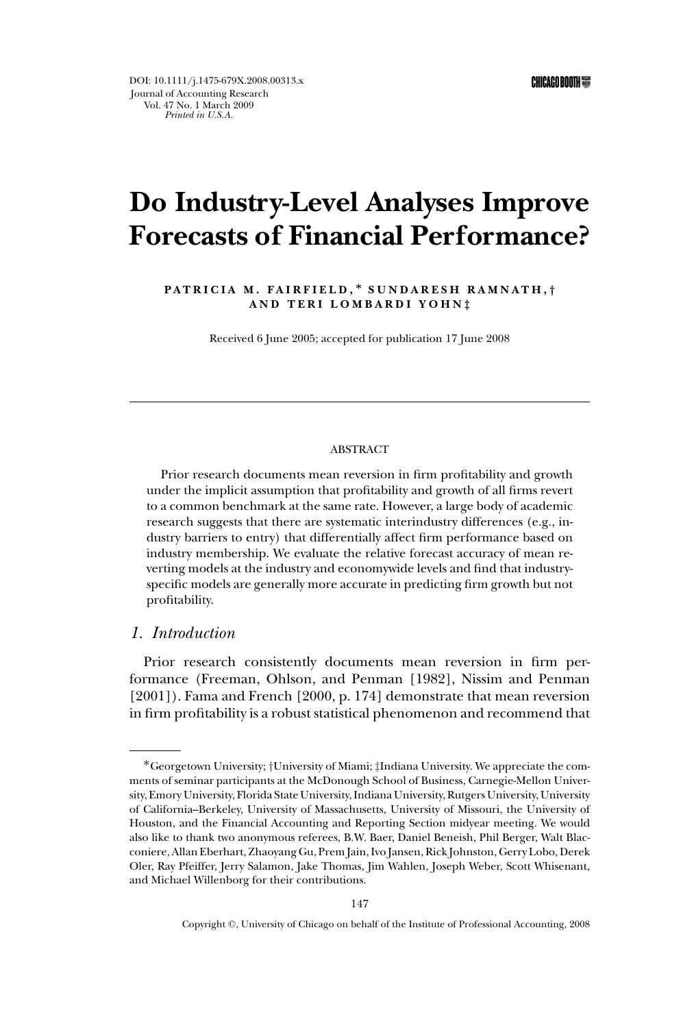# **Do Industry-Level Analyses Improve Forecasts of Financial Performance?**

**PATRICIA M. FAIRFIELD,** *∗* **SUNDARESH RAMNATH,** *†* **AND TERI LOMBARDI YOHN** *‡*

Received 6 June 2005; accepted for publication 17 June 2008

#### ABSTRACT

Prior research documents mean reversion in firm profitability and growth under the implicit assumption that profitability and growth of all firms revert to a common benchmark at the same rate. However, a large body of academic research suggests that there are systematic interindustry differences (e.g., industry barriers to entry) that differentially affect firm performance based on industry membership. We evaluate the relative forecast accuracy of mean reverting models at the industry and economywide levels and find that industryspecific models are generally more accurate in predicting firm growth but not profitability.

## *1. Introduction*

Prior research consistently documents mean reversion in firm performance (Freeman, Ohlson, and Penman [1982], Nissim and Penman [2001]). Fama and French [2000, p. 174] demonstrate that mean reversion in firm profitability is a robust statistical phenomenon and recommend that

<sup>∗</sup>Georgetown University; †University of Miami; ‡Indiana University. We appreciate the comments of seminar participants at the McDonough School of Business, Carnegie-Mellon University, Emory University, Florida State University, Indiana University, Rutgers University, University of California–Berkeley, University of Massachusetts, University of Missouri, the University of Houston, and the Financial Accounting and Reporting Section midyear meeting. We would also like to thank two anonymous referees, B.W. Baer, Daniel Beneish, Phil Berger, Walt Blacconiere, Allan Eberhart, Zhaoyang Gu, Prem Jain, Ivo Jansen, Rick Johnston, Gerry Lobo, Derek Oler, Ray Pfeiffer, Jerry Salamon, Jake Thomas, Jim Wahlen, Joseph Weber, Scott Whisenant, and Michael Willenborg for their contributions.

Copyright <sup>C</sup> , University of Chicago on behalf of the Institute of Professional Accounting, 2008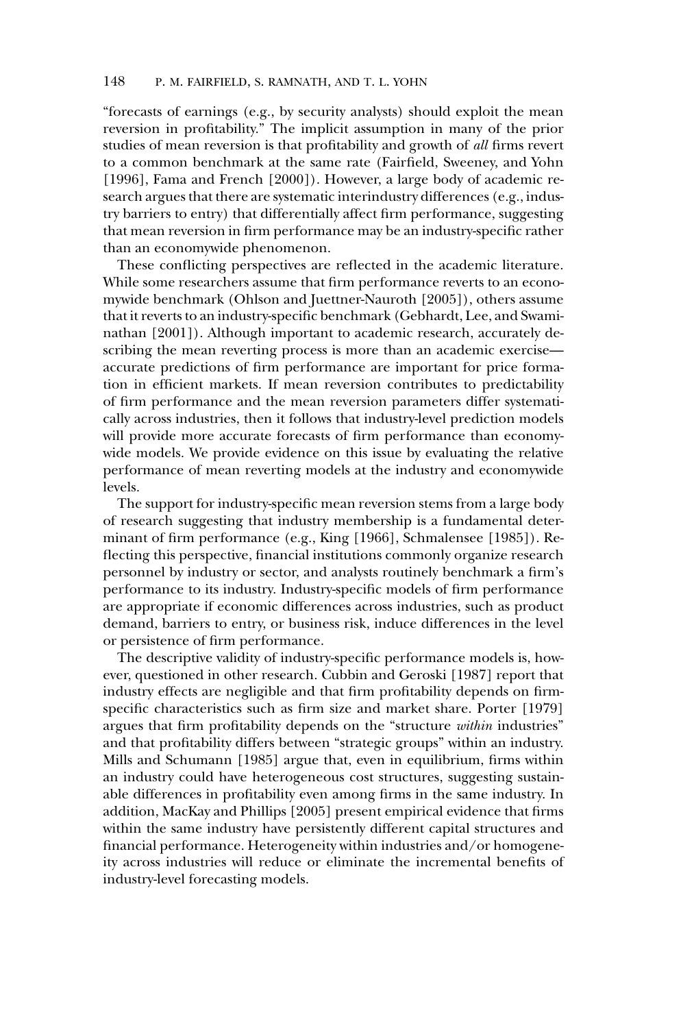"forecasts of earnings (e.g., by security analysts) should exploit the mean reversion in profitability." The implicit assumption in many of the prior studies of mean reversion is that profitability and growth of *all* firms revert to a common benchmark at the same rate (Fairfield, Sweeney, and Yohn [1996], Fama and French [2000]). However, a large body of academic research argues that there are systematic interindustry differences (e.g., industry barriers to entry) that differentially affect firm performance, suggesting that mean reversion in firm performance may be an industry-specific rather than an economywide phenomenon.

These conflicting perspectives are reflected in the academic literature. While some researchers assume that firm performance reverts to an economywide benchmark (Ohlson and Juettner-Nauroth [2005]), others assume that it reverts to an industry-specific benchmark (Gebhardt, Lee, and Swaminathan [2001]). Although important to academic research, accurately describing the mean reverting process is more than an academic exercise accurate predictions of firm performance are important for price formation in efficient markets. If mean reversion contributes to predictability of firm performance and the mean reversion parameters differ systematically across industries, then it follows that industry-level prediction models will provide more accurate forecasts of firm performance than economywide models. We provide evidence on this issue by evaluating the relative performance of mean reverting models at the industry and economywide levels.

The support for industry-specific mean reversion stems from a large body of research suggesting that industry membership is a fundamental determinant of firm performance (e.g., King [1966], Schmalensee [1985]). Reflecting this perspective, financial institutions commonly organize research personnel by industry or sector, and analysts routinely benchmark a firm's performance to its industry. Industry-specific models of firm performance are appropriate if economic differences across industries, such as product demand, barriers to entry, or business risk, induce differences in the level or persistence of firm performance.

The descriptive validity of industry-specific performance models is, however, questioned in other research. Cubbin and Geroski [1987] report that industry effects are negligible and that firm profitability depends on firmspecific characteristics such as firm size and market share. Porter [1979] argues that firm profitability depends on the "structure *within* industries" and that profitability differs between "strategic groups" within an industry. Mills and Schumann [1985] argue that, even in equilibrium, firms within an industry could have heterogeneous cost structures, suggesting sustainable differences in profitability even among firms in the same industry. In addition, MacKay and Phillips [2005] present empirical evidence that firms within the same industry have persistently different capital structures and financial performance. Heterogeneity within industries and/or homogeneity across industries will reduce or eliminate the incremental benefits of industry-level forecasting models.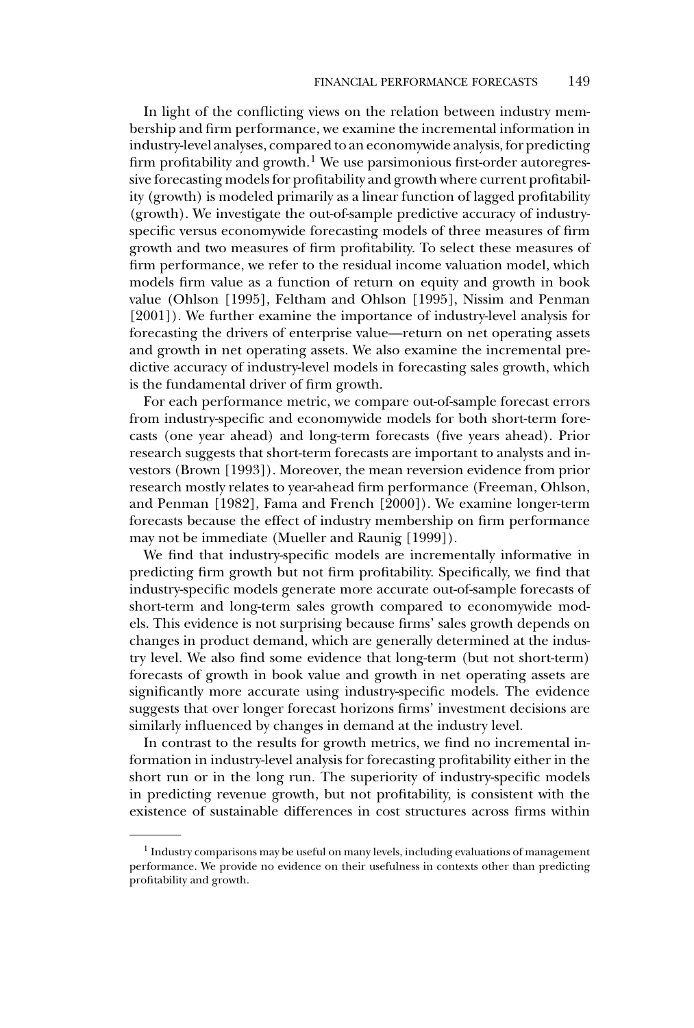In light of the conflicting views on the relation between industry membership and firm performance, we examine the incremental information in industry-level analyses, compared to an economywide analysis, for predicting firm profitability and growth.<sup>1</sup> We use parsimonious first-order autoregressive forecasting models for profitability and growth where current profitability (growth) is modeled primarily as a linear function of lagged profitability (growth). We investigate the out-of-sample predictive accuracy of industryspecific versus economywide forecasting models of three measures of firm growth and two measures of firm profitability. To select these measures of firm performance, we refer to the residual income valuation model, which models firm value as a function of return on equity and growth in book value (Ohlson [1995], Feltham and Ohlson [1995], Nissim and Penman [2001]). We further examine the importance of industry-level analysis for forecasting the drivers of enterprise value—return on net operating assets and growth in net operating assets. We also examine the incremental predictive accuracy of industry-level models in forecasting sales growth, which is the fundamental driver of firm growth.

For each performance metric, we compare out-of-sample forecast errors from industry-specific and economywide models for both short-term forecasts (one year ahead) and long-term forecasts (five years ahead). Prior research suggests that short-term forecasts are important to analysts and investors (Brown [1993]). Moreover, the mean reversion evidence from prior research mostly relates to year-ahead firm performance (Freeman, Ohlson, and Penman [1982], Fama and French [2000]). We examine longer-term forecasts because the effect of industry membership on firm performance may not be immediate (Mueller and Raunig [1999]).

We find that industry-specific models are incrementally informative in predicting firm growth but not firm profitability. Specifically, we find that industry-specific models generate more accurate out-of-sample forecasts of short-term and long-term sales growth compared to economywide models. This evidence is not surprising because firms' sales growth depends on changes in product demand, which are generally determined at the industry level. We also find some evidence that long-term (but not short-term) forecasts of growth in book value and growth in net operating assets are significantly more accurate using industry-specific models. The evidence suggests that over longer forecast horizons firms' investment decisions are similarly influenced by changes in demand at the industry level.

In contrast to the results for growth metrics, we find no incremental information in industry-level analysis for forecasting profitability either in the short run or in the long run. The superiority of industry-specific models in predicting revenue growth, but not profitability, is consistent with the existence of sustainable differences in cost structures across firms within

 $^{\rm 1}$  Industry comparisons may be useful on many levels, including evaluations of management performance. We provide no evidence on their usefulness in contexts other than predicting profitability and growth.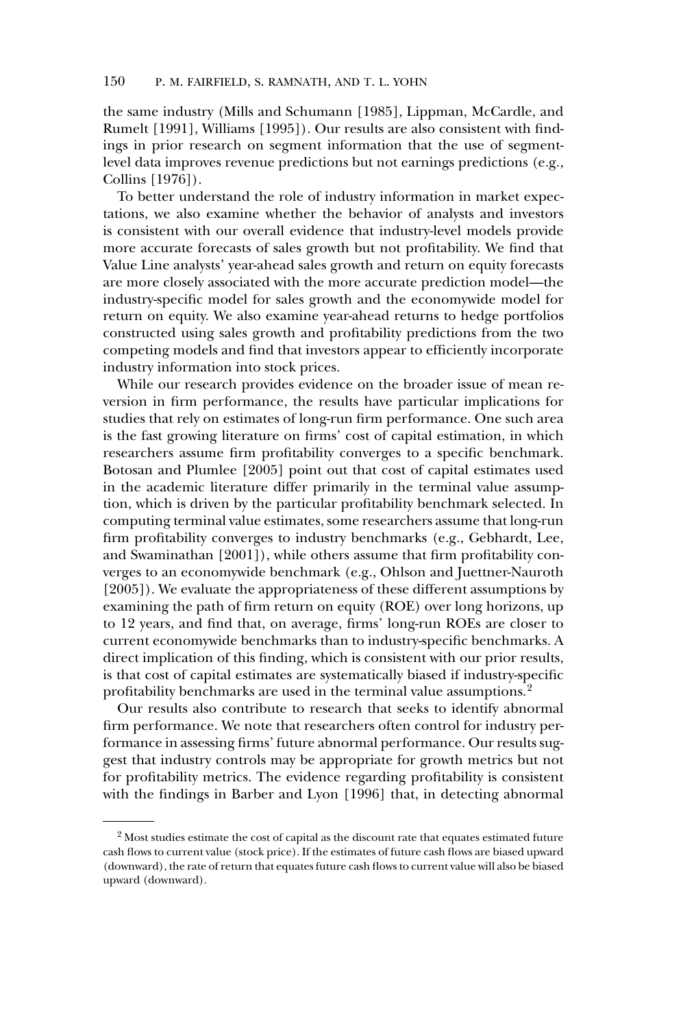the same industry (Mills and Schumann [1985], Lippman, McCardle, and Rumelt [1991], Williams [1995]). Our results are also consistent with findings in prior research on segment information that the use of segmentlevel data improves revenue predictions but not earnings predictions (e.g., Collins [1976]).

To better understand the role of industry information in market expectations, we also examine whether the behavior of analysts and investors is consistent with our overall evidence that industry-level models provide more accurate forecasts of sales growth but not profitability. We find that Value Line analysts' year-ahead sales growth and return on equity forecasts are more closely associated with the more accurate prediction model—the industry-specific model for sales growth and the economywide model for return on equity. We also examine year-ahead returns to hedge portfolios constructed using sales growth and profitability predictions from the two competing models and find that investors appear to efficiently incorporate industry information into stock prices.

While our research provides evidence on the broader issue of mean reversion in firm performance, the results have particular implications for studies that rely on estimates of long-run firm performance. One such area is the fast growing literature on firms' cost of capital estimation, in which researchers assume firm profitability converges to a specific benchmark. Botosan and Plumlee [2005] point out that cost of capital estimates used in the academic literature differ primarily in the terminal value assumption, which is driven by the particular profitability benchmark selected. In computing terminal value estimates, some researchers assume that long-run firm profitability converges to industry benchmarks (e.g., Gebhardt, Lee, and Swaminathan [2001]), while others assume that firm profitability converges to an economywide benchmark (e.g., Ohlson and Juettner-Nauroth [2005]). We evaluate the appropriateness of these different assumptions by examining the path of firm return on equity (ROE) over long horizons, up to 12 years, and find that, on average, firms' long-run ROEs are closer to current economywide benchmarks than to industry-specific benchmarks. A direct implication of this finding, which is consistent with our prior results, is that cost of capital estimates are systematically biased if industry-specific profitability benchmarks are used in the terminal value assumptions.<sup>2</sup>

Our results also contribute to research that seeks to identify abnormal firm performance. We note that researchers often control for industry performance in assessing firms' future abnormal performance. Our results suggest that industry controls may be appropriate for growth metrics but not for profitability metrics. The evidence regarding profitability is consistent with the findings in Barber and Lyon [1996] that, in detecting abnormal

 $^2$  Most studies estimate the cost of capital as the discount rate that equates estimated future cash flows to current value (stock price). If the estimates of future cash flows are biased upward (downward), the rate of return that equates future cash flows to current value will also be biased upward (downward).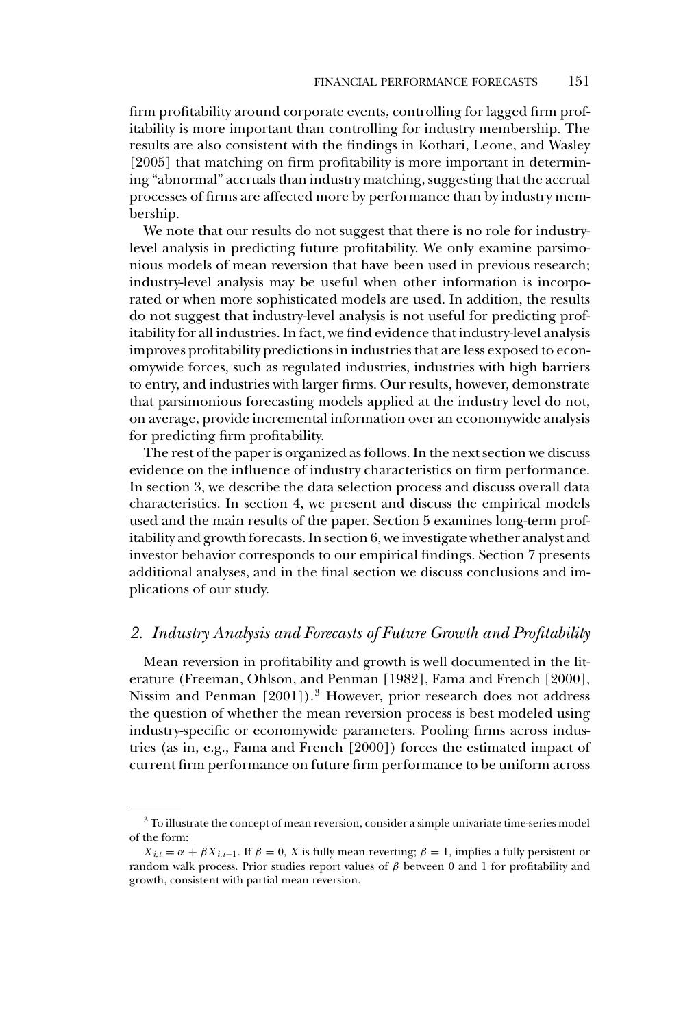firm profitability around corporate events, controlling for lagged firm profitability is more important than controlling for industry membership. The results are also consistent with the findings in Kothari, Leone, and Wasley [2005] that matching on firm profitability is more important in determining "abnormal" accruals than industry matching, suggesting that the accrual processes of firms are affected more by performance than by industry membership.

We note that our results do not suggest that there is no role for industrylevel analysis in predicting future profitability. We only examine parsimonious models of mean reversion that have been used in previous research; industry-level analysis may be useful when other information is incorporated or when more sophisticated models are used. In addition, the results do not suggest that industry-level analysis is not useful for predicting profitability for all industries. In fact, we find evidence that industry-level analysis improves profitability predictions in industries that are less exposed to economywide forces, such as regulated industries, industries with high barriers to entry, and industries with larger firms. Our results, however, demonstrate that parsimonious forecasting models applied at the industry level do not, on average, provide incremental information over an economywide analysis for predicting firm profitability.

The rest of the paper is organized as follows. In the next section we discuss evidence on the influence of industry characteristics on firm performance. In section 3, we describe the data selection process and discuss overall data characteristics. In section 4, we present and discuss the empirical models used and the main results of the paper. Section 5 examines long-term profitability and growth forecasts. In section 6, we investigate whether analyst and investor behavior corresponds to our empirical findings. Section 7 presents additional analyses, and in the final section we discuss conclusions and implications of our study.

## *2. Industry Analysis and Forecasts of Future Growth and Profitability*

Mean reversion in profitability and growth is well documented in the literature (Freeman, Ohlson, and Penman [1982], Fama and French [2000], Nissim and Penman [2001]).<sup>3</sup> However, prior research does not address the question of whether the mean reversion process is best modeled using industry-specific or economywide parameters. Pooling firms across industries (as in, e.g., Fama and French [2000]) forces the estimated impact of current firm performance on future firm performance to be uniform across

<sup>&</sup>lt;sup>3</sup> To illustrate the concept of mean reversion, consider a simple univariate time-series model of the form:

 $X_{i,t} = \alpha + \beta X_{i,t-1}$ . If  $\beta = 0$ , *X* is fully mean reverting;  $\beta = 1$ , implies a fully persistent or random walk process. Prior studies report values of  $\beta$  between 0 and 1 for profitability and growth, consistent with partial mean reversion.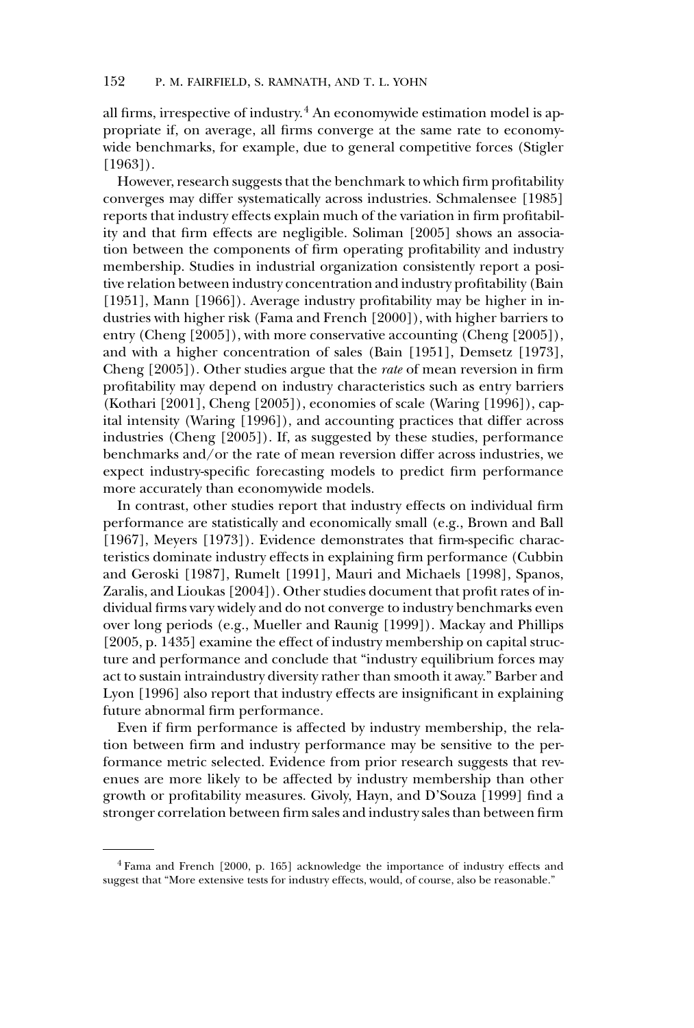all firms, irrespective of industry.<sup>4</sup> An economywide estimation model is appropriate if, on average, all firms converge at the same rate to economywide benchmarks, for example, due to general competitive forces (Stigler [1963]).

However, research suggests that the benchmark to which firm profitability converges may differ systematically across industries. Schmalensee [1985] reports that industry effects explain much of the variation in firm profitability and that firm effects are negligible. Soliman [2005] shows an association between the components of firm operating profitability and industry membership. Studies in industrial organization consistently report a positive relation between industry concentration and industry profitability (Bain [1951], Mann [1966]). Average industry profitability may be higher in industries with higher risk (Fama and French [2000]), with higher barriers to entry (Cheng [2005]), with more conservative accounting (Cheng [2005]), and with a higher concentration of sales (Bain [1951], Demsetz [1973], Cheng [2005]). Other studies argue that the *rate* of mean reversion in firm profitability may depend on industry characteristics such as entry barriers (Kothari [2001], Cheng [2005]), economies of scale (Waring [1996]), capital intensity (Waring [1996]), and accounting practices that differ across industries (Cheng [2005]). If, as suggested by these studies, performance benchmarks and/or the rate of mean reversion differ across industries, we expect industry-specific forecasting models to predict firm performance more accurately than economywide models.

In contrast, other studies report that industry effects on individual firm performance are statistically and economically small (e.g., Brown and Ball [1967], Meyers [1973]). Evidence demonstrates that firm-specific characteristics dominate industry effects in explaining firm performance (Cubbin and Geroski [1987], Rumelt [1991], Mauri and Michaels [1998], Spanos, Zaralis, and Lioukas [2004]). Other studies document that profit rates of individual firms vary widely and do not converge to industry benchmarks even over long periods (e.g., Mueller and Raunig [1999]). Mackay and Phillips [2005, p. 1435] examine the effect of industry membership on capital structure and performance and conclude that "industry equilibrium forces may act to sustain intraindustry diversity rather than smooth it away." Barber and Lyon [1996] also report that industry effects are insignificant in explaining future abnormal firm performance.

Even if firm performance is affected by industry membership, the relation between firm and industry performance may be sensitive to the performance metric selected. Evidence from prior research suggests that revenues are more likely to be affected by industry membership than other growth or profitability measures. Givoly, Hayn, and D'Souza [1999] find a stronger correlation between firm sales and industry sales than between firm

<sup>4</sup> Fama and French [2000, p. 165] acknowledge the importance of industry effects and suggest that "More extensive tests for industry effects, would, of course, also be reasonable."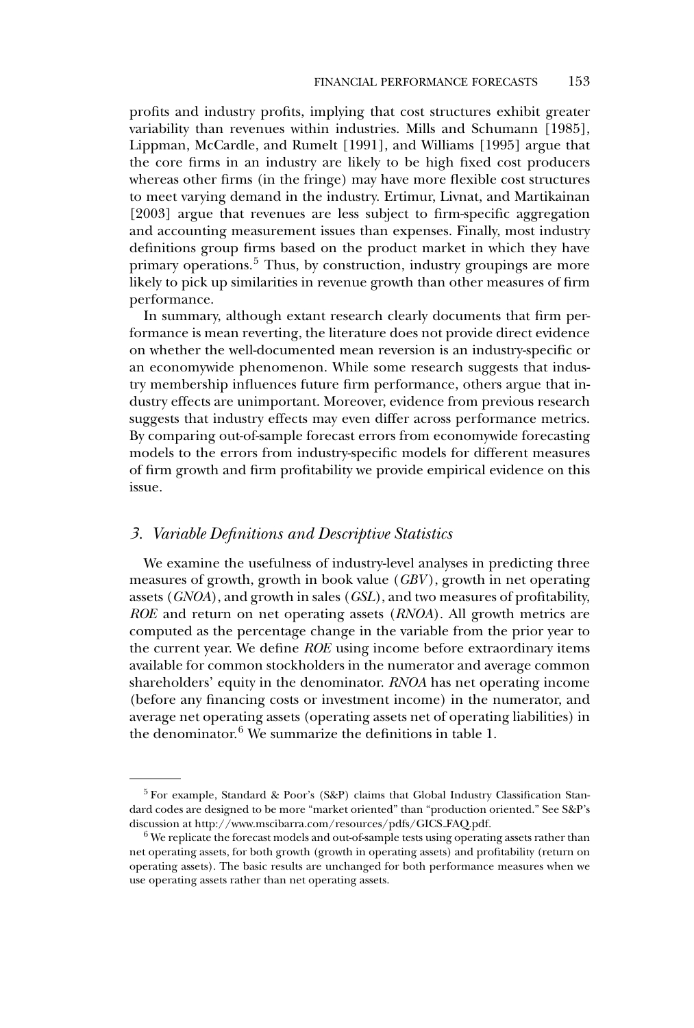profits and industry profits, implying that cost structures exhibit greater variability than revenues within industries. Mills and Schumann [1985], Lippman, McCardle, and Rumelt [1991], and Williams [1995] argue that the core firms in an industry are likely to be high fixed cost producers whereas other firms (in the fringe) may have more flexible cost structures to meet varying demand in the industry. Ertimur, Livnat, and Martikainan [2003] argue that revenues are less subject to firm-specific aggregation and accounting measurement issues than expenses. Finally, most industry definitions group firms based on the product market in which they have primary operations.<sup>5</sup> Thus, by construction, industry groupings are more likely to pick up similarities in revenue growth than other measures of firm performance.

In summary, although extant research clearly documents that firm performance is mean reverting, the literature does not provide direct evidence on whether the well-documented mean reversion is an industry-specific or an economywide phenomenon. While some research suggests that industry membership influences future firm performance, others argue that industry effects are unimportant. Moreover, evidence from previous research suggests that industry effects may even differ across performance metrics. By comparing out-of-sample forecast errors from economywide forecasting models to the errors from industry-specific models for different measures of firm growth and firm profitability we provide empirical evidence on this issue.

## *3. Variable Definitions and Descriptive Statistics*

We examine the usefulness of industry-level analyses in predicting three measures of growth, growth in book value (*GBV* ), growth in net operating assets (*GNOA*), and growth in sales (*GSL*), and two measures of profitability, *ROE* and return on net operating assets (*RNOA*). All growth metrics are computed as the percentage change in the variable from the prior year to the current year. We define *ROE* using income before extraordinary items available for common stockholders in the numerator and average common shareholders' equity in the denominator. *RNOA* has net operating income (before any financing costs or investment income) in the numerator, and average net operating assets (operating assets net of operating liabilities) in the denominator. $6$  We summarize the definitions in table 1.

<sup>&</sup>lt;sup>5</sup> For example, Standard & Poor's (S&P) claims that Global Industry Classification Standard codes are designed to be more "market oriented" than "production oriented." See S&P's discussion at http://www.mscibarra.com/resources/pdfs/GICS FAQ.pdf.

 $6$  We replicate the forecast models and out-of-sample tests using operating assets rather than net operating assets, for both growth (growth in operating assets) and profitability (return on operating assets). The basic results are unchanged for both performance measures when we use operating assets rather than net operating assets.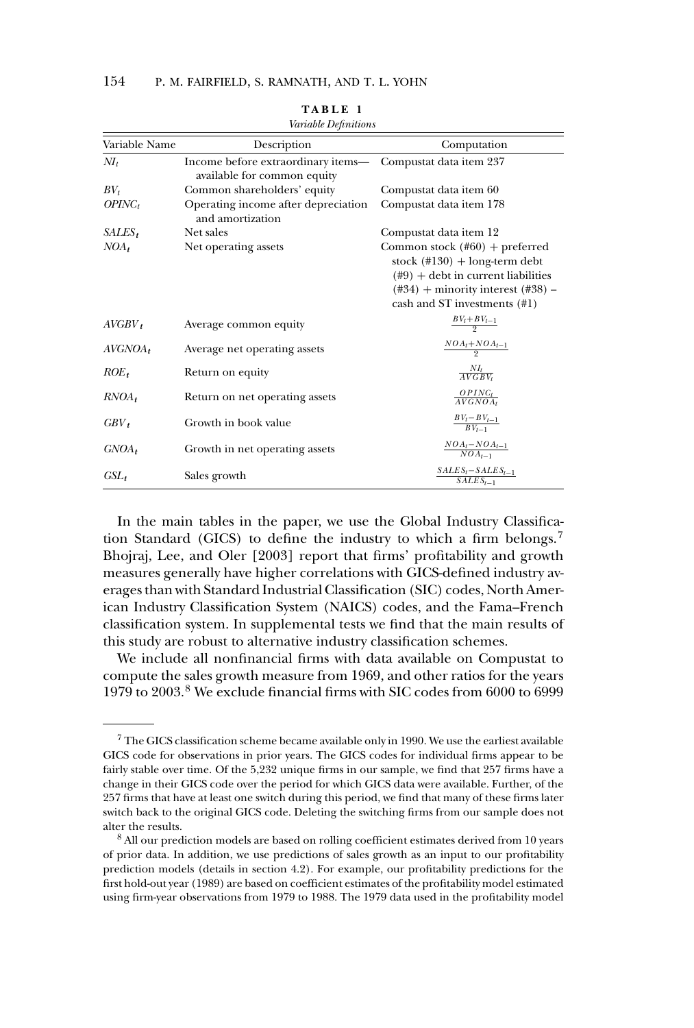|                | ranava Dephavons                                                  |                                                                                                                                                                                                             |
|----------------|-------------------------------------------------------------------|-------------------------------------------------------------------------------------------------------------------------------------------------------------------------------------------------------------|
| Variable Name  | Description                                                       | Computation                                                                                                                                                                                                 |
| $M_t$          | Income before extraordinary items—<br>available for common equity | Compustat data item 237                                                                                                                                                                                     |
| $BV_t$         | Common shareholders' equity                                       | Compustat data item 60                                                                                                                                                                                      |
| $OPINC_t$      | Operating income after depreciation<br>and amortization           | Compustat data item 178                                                                                                                                                                                     |
| <i>SALES</i> , | Net sales                                                         | Compustat data item 12                                                                                                                                                                                      |
| $NOA_t$        | Net operating assets                                              | Common stock $(\#60)$ + preferred<br>stock $(\text{\#}130)$ + long-term debt<br>$(\text{\#9}) +$ debt in current liabilities<br>$(\text{\#34})$ + minority interest (#38) –<br>cash and ST investments (#1) |
| $AVGBV_t$      | Average common equity                                             | $\frac{BV_t+BV_{t-1}}{2}$                                                                                                                                                                                   |
| $AVGNOA_t$     | Average net operating assets                                      | $\frac{NOA_t + NOA_{t-1}}{2}$                                                                                                                                                                               |
| $ROE_t$        | Return on equity                                                  | $\frac{NI_t}{AVGBV_t}$                                                                                                                                                                                      |
| $RNOA_t$       | Return on net operating assets                                    | $\frac{OPINC_t}{AVGNOA_t}$                                                                                                                                                                                  |
| $GBV_t$        | Growth in book value                                              | $\frac{BV_t - BV_{t-1}}{BV_{t-1}}$                                                                                                                                                                          |
| $GNOA_t$       | Growth in net operating assets                                    | $\frac{NOA_t - NOA_{t-1}}{NOA_{t-1}}$                                                                                                                                                                       |
| $GSL_t$        | Sales growth                                                      | $\frac{SALES_t - SALES_{t-1}}{SALES_{t-1}}$                                                                                                                                                                 |

**TABLE 1** *Variable Definitions*

In the main tables in the paper, we use the Global Industry Classification Standard (GICS) to define the industry to which a firm belongs.<sup>7</sup> Bhojraj, Lee, and Oler [2003] report that firms' profitability and growth measures generally have higher correlations with GICS-defined industry averages than with Standard Industrial Classification (SIC) codes, North American Industry Classification System (NAICS) codes, and the Fama–French classification system. In supplemental tests we find that the main results of this study are robust to alternative industry classification schemes.

We include all nonfinancial firms with data available on Compustat to compute the sales growth measure from 1969, and other ratios for the years 1979 to 2003.<sup>8</sup> We exclude financial firms with SIC codes from 6000 to 6999

 $<sup>7</sup>$  The GICS classification scheme became available only in 1990. We use the earliest available</sup> GICS code for observations in prior years. The GICS codes for individual firms appear to be fairly stable over time. Of the 5,232 unique firms in our sample, we find that 257 firms have a change in their GICS code over the period for which GICS data were available. Further, of the 257 firms that have at least one switch during this period, we find that many of these firms later switch back to the original GICS code. Deleting the switching firms from our sample does not alter the results.

<sup>&</sup>lt;sup>8</sup> All our prediction models are based on rolling coefficient estimates derived from 10 years of prior data. In addition, we use predictions of sales growth as an input to our profitability prediction models (details in section 4.2). For example, our profitability predictions for the first hold-out year (1989) are based on coefficient estimates of the profitability model estimated using firm-year observations from 1979 to 1988. The 1979 data used in the profitability model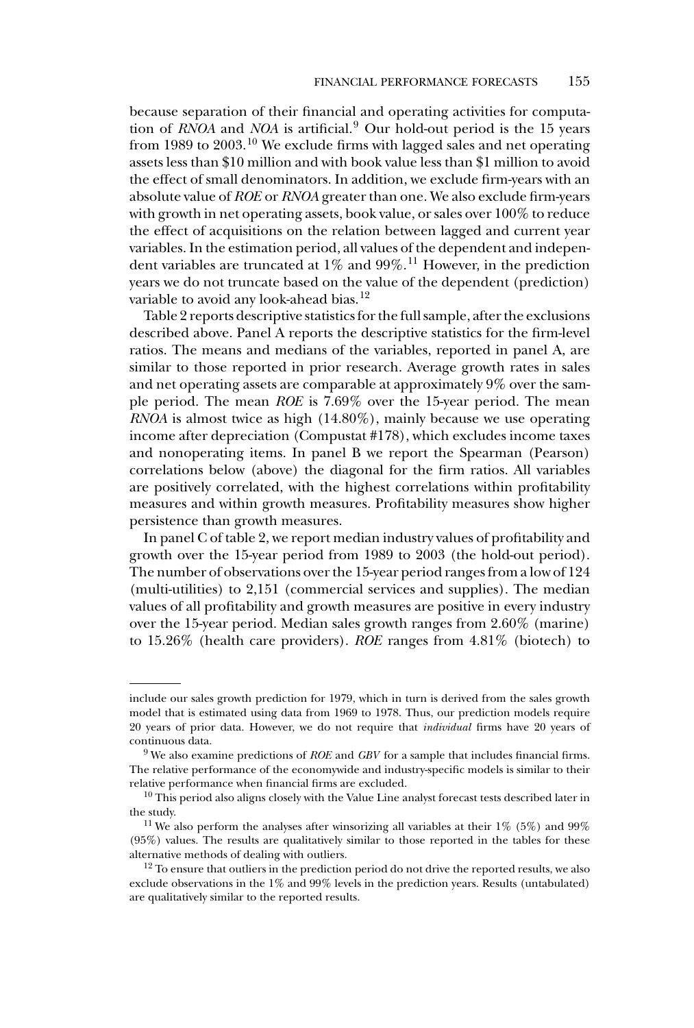because separation of their financial and operating activities for computation of *RNOA* and *NOA* is artificial.<sup>9</sup> Our hold-out period is the 15 years from 1989 to 2003.<sup>10</sup> We exclude firms with lagged sales and net operating assets less than \$10 million and with book value less than \$1 million to avoid the effect of small denominators. In addition, we exclude firm-years with an absolute value of *ROE* or *RNOA* greater than one. We also exclude firm-years with growth in net operating assets, book value, or sales over 100% to reduce the effect of acquisitions on the relation between lagged and current year variables. In the estimation period, all values of the dependent and independent variables are truncated at 1% and 99%.<sup>11</sup> However, in the prediction years we do not truncate based on the value of the dependent (prediction) variable to avoid any look-ahead bias. $12$ 

Table 2 reports descriptive statistics for the full sample, after the exclusions described above. Panel A reports the descriptive statistics for the firm-level ratios. The means and medians of the variables, reported in panel A, are similar to those reported in prior research. Average growth rates in sales and net operating assets are comparable at approximately 9% over the sample period. The mean *ROE* is 7.69% over the 15-year period. The mean *RNOA* is almost twice as high (14.80%), mainly because we use operating income after depreciation (Compustat #178), which excludes income taxes and nonoperating items. In panel B we report the Spearman (Pearson) correlations below (above) the diagonal for the firm ratios. All variables are positively correlated, with the highest correlations within profitability measures and within growth measures. Profitability measures show higher persistence than growth measures.

In panel C of table 2, we report median industry values of profitability and growth over the 15-year period from 1989 to 2003 (the hold-out period). The number of observations over the 15-year period ranges from a low of 124 (multi-utilities) to 2,151 (commercial services and supplies). The median values of all profitability and growth measures are positive in every industry over the 15-year period. Median sales growth ranges from 2.60% (marine) to 15.26% (health care providers). *ROE* ranges from 4.81% (biotech) to

include our sales growth prediction for 1979, which in turn is derived from the sales growth model that is estimated using data from 1969 to 1978. Thus, our prediction models require 20 years of prior data. However, we do not require that *individual* firms have 20 years of continuous data.

<sup>9</sup> We also examine predictions of *ROE* and *GBV* for a sample that includes financial firms. The relative performance of the economywide and industry-specific models is similar to their relative performance when financial firms are excluded.

 $10$  This period also aligns closely with the Value Line analyst forecast tests described later in the study.

<sup>&</sup>lt;sup>11</sup> We also perform the analyses after winsorizing all variables at their  $1\%$  (5%) and 99% (95%) values. The results are qualitatively similar to those reported in the tables for these alternative methods of dealing with outliers.

 $12$  To ensure that outliers in the prediction period do not drive the reported results, we also exclude observations in the 1% and 99% levels in the prediction years. Results (untabulated) are qualitatively similar to the reported results.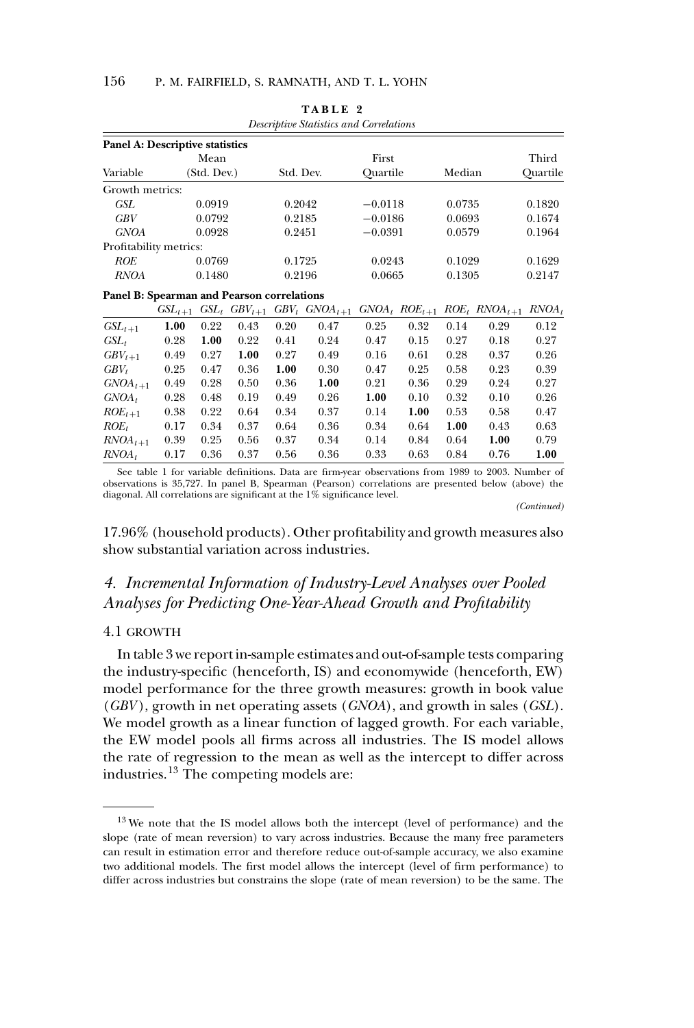|                                            |      |             |      |           | <b>Descriptive Statistics and Correlations</b>       |           |      |        |                                           |          |
|--------------------------------------------|------|-------------|------|-----------|------------------------------------------------------|-----------|------|--------|-------------------------------------------|----------|
| Panel A: Descriptive statistics            |      |             |      |           |                                                      |           |      |        |                                           |          |
|                                            |      | Mean        |      |           |                                                      | First     |      |        |                                           | Third    |
| Variable                                   |      | (Std. Dev.) |      | Std. Dev. |                                                      | Quartile  |      | Median |                                           | Quartile |
| Growth metrics:                            |      |             |      |           |                                                      |           |      |        |                                           |          |
| GSL                                        |      | 0.0919      |      | 0.2042    |                                                      | $-0.0118$ |      | 0.0735 |                                           | 0.1820   |
| GBV                                        |      | 0.0792      |      | 0.2185    |                                                      | $-0.0186$ |      | 0.0693 |                                           | 0.1674   |
| <b>GNOA</b>                                |      | 0.0928      |      | 0.2451    |                                                      | $-0.0391$ |      | 0.0579 |                                           | 0.1964   |
| Profitability metrics:                     |      |             |      |           |                                                      |           |      |        |                                           |          |
| ROE                                        |      | 0.0769      |      | 0.1725    |                                                      | 0.0243    |      | 0.1029 |                                           | 0.1629   |
| <b>RNOA</b>                                |      | 0.1480      |      | 0.2196    |                                                      | 0.0665    |      | 0.1305 |                                           | 0.2147   |
| Panel B: Spearman and Pearson correlations |      |             |      |           |                                                      |           |      |        |                                           |          |
|                                            |      |             |      |           | $GSL_{t+1}$ $GSL_t$ $GBV_{t+1}$ $GBV_t$ $GNOA_{t+1}$ |           |      |        | $GNOA_t$ $ROE_{t+1}$ $ROE_t$ $RNOA_{t+1}$ | $RNOA_t$ |
| $GSL_{t+1}$                                | 1.00 | 0.22        | 0.43 | 0.20      | 0.47                                                 | 0.25      | 0.32 | 0.14   | 0.29                                      | 0.12     |
| $GSL_t$                                    | 0.28 | 1.00        | 0.22 | 0.41      | 0.24                                                 | 0.47      | 0.15 | 0.27   | 0.18                                      | 0.27     |
| $GBV_{t+1}$                                | 0.49 | 0.27        | 1.00 | 0.27      | 0.49                                                 | 0.16      | 0.61 | 0.28   | 0.37                                      | 0.26     |
| $GBV_t$                                    | 0.25 | 0.47        | 0.36 | 1.00      | 0.30                                                 | 0.47      | 0.25 | 0.58   | 0.23                                      | 0.39     |
| $GNOA_{t+1}$                               | 0.49 | 0.28        | 0.50 | 0.36      | 1.00                                                 | 0.21      | 0.36 | 0.29   | 0.24                                      | 0.27     |
| $GNOA_t$                                   | 0.28 | 0.48        | 0.19 | 0.49      | 0.26                                                 | 1.00      | 0.10 | 0.32   | 0.10                                      | 0.26     |
| $ROE_{t+1}$                                | 0.38 | 0.22        | 0.64 | 0.34      | 0.37                                                 | 0.14      | 1.00 | 0.53   | 0.58                                      | 0.47     |
| $ROE_t$                                    | 0.17 | 0.34        | 0.37 | 0.64      | 0.36                                                 | 0.34      | 0.64 | 1.00   | 0.43                                      | 0.63     |
| $RNOA_{t+1}$                               | 0.39 | 0.25        | 0.56 | 0.37      | 0.34                                                 | 0.14      | 0.84 | 0.64   | 1.00                                      | 0.79     |
| $RNOA_t$                                   | 0.17 | 0.36        | 0.37 | 0.56      | 0.36                                                 | 0.33      | 0.63 | 0.84   | 0.76                                      | 1.00     |

| TABLE 2 |                                        |
|---------|----------------------------------------|
|         | Descriptive Statistics and Correlation |

See table 1 for variable definitions. Data are firm-year observations from 1989 to 2003. Number of observations is 35,727. In panel B, Spearman (Pearson) correlations are presented below (above) the diagonal. All correlations are significant at the 1% significance level.

*(Continued)*

17.96% (household products). Other profitability and growth measures also show substantial variation across industries.

# *4. Incremental Information of Industry-Level Analyses over Pooled Analyses for Predicting One-Year-Ahead Growth and Profitability*

#### 4.1 GROWTH

In table 3 we report in-sample estimates and out-of-sample tests comparing the industry-specific (henceforth, IS) and economywide (henceforth, EW) model performance for the three growth measures: growth in book value (*GBV* ), growth in net operating assets (*GNOA*), and growth in sales (*GSL*). We model growth as a linear function of lagged growth. For each variable, the EW model pools all firms across all industries. The IS model allows the rate of regression to the mean as well as the intercept to differ across industries.<sup>13</sup> The competing models are:

 $13$  We note that the IS model allows both the intercept (level of performance) and the slope (rate of mean reversion) to vary across industries. Because the many free parameters can result in estimation error and therefore reduce out-of-sample accuracy, we also examine two additional models. The first model allows the intercept (level of firm performance) to differ across industries but constrains the slope (rate of mean reversion) to be the same. The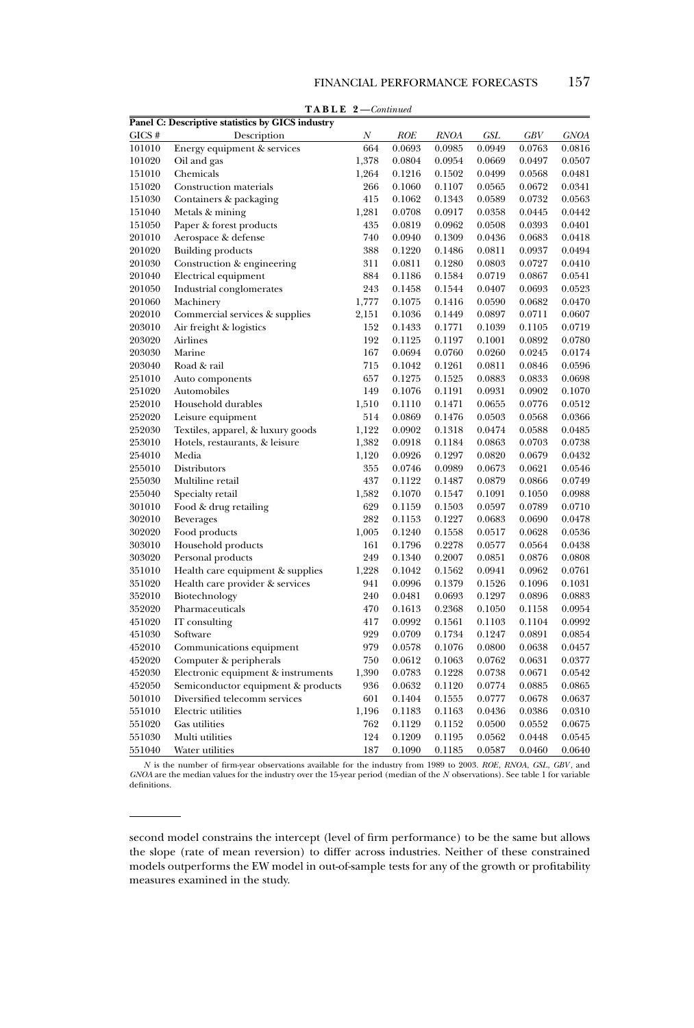|        | Panel C: Descriptive statistics by GICS industry |       |        |             |        |        |        |
|--------|--------------------------------------------------|-------|--------|-------------|--------|--------|--------|
| GICS # | Description                                      | Ν     | ROE    | <b>RNOA</b> | GSL    | GBV    | GNOA   |
| 101010 | Energy equipment & services                      | 664   | 0.0693 | 0.0985      | 0.0949 | 0.0763 | 0.0816 |
| 101020 | Oil and gas                                      | 1,378 | 0.0804 | 0.0954      | 0.0669 | 0.0497 | 0.0507 |
| 151010 | Chemicals                                        | 1,264 | 0.1216 | 0.1502      | 0.0499 | 0.0568 | 0.0481 |
| 151020 | Construction materials                           | 266   | 0.1060 | 0.1107      | 0.0565 | 0.0672 | 0.0341 |
| 151030 | Containers & packaging                           | 415   | 0.1062 | 0.1343      | 0.0589 | 0.0732 | 0.0563 |
| 151040 | Metals & mining                                  | 1,281 | 0.0708 | 0.0917      | 0.0358 | 0.0445 | 0.0442 |
| 151050 | Paper & forest products                          | 435   | 0.0819 | 0.0962      | 0.0508 | 0.0393 | 0.0401 |
| 201010 | Aerospace & defense                              | 740   | 0.0940 | 0.1309      | 0.0436 | 0.0683 | 0.0418 |
| 201020 | <b>Building products</b>                         | 388   | 0.1220 | 0.1486      | 0.0811 | 0.0937 | 0.0494 |
| 201030 | Construction & engineering                       | 311   | 0.0811 | 0.1280      | 0.0803 | 0.0727 | 0.0410 |
| 201040 | Electrical equipment                             | 884   | 0.1186 | 0.1584      | 0.0719 | 0.0867 | 0.0541 |
| 201050 | Industrial conglomerates                         | 243   | 0.1458 | 0.1544      | 0.0407 | 0.0693 | 0.0523 |
| 201060 | Machinery                                        | 1,777 | 0.1075 | 0.1416      | 0.0590 | 0.0682 | 0.0470 |
| 202010 | Commercial services & supplies                   | 2,151 | 0.1036 | 0.1449      | 0.0897 | 0.0711 | 0.0607 |
| 203010 | Air freight & logistics                          | 152   | 0.1433 | 0.1771      | 0.1039 | 0.1105 | 0.0719 |
| 203020 | Airlines                                         | 192   | 0.1125 | 0.1197      | 0.1001 | 0.0892 | 0.0780 |
| 203030 | Marine                                           | 167   | 0.0694 | 0.0760      | 0.0260 | 0.0245 | 0.0174 |
| 203040 | Road & rail                                      | 715   | 0.1042 | 0.1261      | 0.0811 | 0.0846 | 0.0596 |
| 251010 | Auto components                                  | 657   | 0.1275 | 0.1525      | 0.0883 | 0.0833 | 0.0698 |
| 251020 | Automobiles                                      | 149   | 0.1076 | 0.1191      | 0.0931 | 0.0902 | 0.1070 |
| 252010 | Household durables                               | 1,510 | 0.1110 | 0.1471      | 0.0655 | 0.0776 | 0.0512 |
| 252020 | Leisure equipment                                | 514   | 0.0869 | 0.1476      | 0.0503 | 0.0568 | 0.0366 |
| 252030 | Textiles, apparel, & luxury goods                | 1,122 | 0.0902 | 0.1318      | 0.0474 | 0.0588 | 0.0485 |
| 253010 | Hotels, restaurants, & leisure                   | 1,382 | 0.0918 | 0.1184      | 0.0863 | 0.0703 | 0.0738 |
| 254010 | Media                                            | 1,120 | 0.0926 | 0.1297      | 0.0820 | 0.0679 | 0.0432 |
| 255010 | Distributors                                     | 355   | 0.0746 | 0.0989      | 0.0673 | 0.0621 | 0.0546 |
| 255030 | Multiline retail                                 | 437   | 0.1122 | 0.1487      | 0.0879 | 0.0866 | 0.0749 |
| 255040 | Specialty retail                                 | 1,582 | 0.1070 | 0.1547      | 0.1091 | 0.1050 | 0.0988 |
| 301010 | Food & drug retailing                            | 629   | 0.1159 | 0.1503      | 0.0597 | 0.0789 | 0.0710 |
| 302010 | <b>Beverages</b>                                 | 282   | 0.1153 | 0.1227      | 0.0683 | 0.0690 | 0.0478 |
| 302020 | Food products                                    | 1,005 | 0.1240 | 0.1558      | 0.0517 | 0.0628 | 0.0536 |
| 303010 | Household products                               | 161   | 0.1796 | 0.2278      | 0.0577 | 0.0564 | 0.0438 |
| 303020 | Personal products                                | 249   | 0.1340 | 0.2007      | 0.0851 | 0.0876 | 0.0808 |
| 351010 | Health care equipment & supplies                 | 1,228 | 0.1042 | 0.1562      | 0.0941 | 0.0962 | 0.0761 |
| 351020 | Health care provider & services                  | 941   | 0.0996 | 0.1379      | 0.1526 | 0.1096 | 0.1031 |
| 352010 | Biotechnology                                    | 240   | 0.0481 | 0.0693      | 0.1297 | 0.0896 | 0.0883 |
| 352020 | Pharmaceuticals                                  | 470   | 0.1613 | 0.2368      | 0.1050 | 0.1158 | 0.0954 |
| 451020 | IT consulting                                    | 417   | 0.0992 | 0.1561      | 0.1103 | 0.1104 | 0.0992 |
| 451030 | Software                                         | 929   | 0.0709 | 0.1734      | 0.1247 | 0.0891 | 0.0854 |
| 452010 | Communications equipment                         | 979   | 0.0578 | 0.1076      | 0.0800 | 0.0638 | 0.0457 |
| 452020 | Computer & peripherals                           | 750   | 0.0612 | 0.1063      | 0.0762 | 0.0631 | 0.0377 |
| 452030 | Electronic equipment & instruments               | 1,390 | 0.0783 | 0.1228      | 0.0738 | 0.0671 | 0.0542 |
| 452050 | Semiconductor equipment & products               | 936   | 0.0632 | 0.1120      | 0.0774 | 0.0885 | 0.0865 |
| 501010 | Diversified telecomm services                    | 601   | 0.1404 | 0.1555      | 0.0777 | 0.0678 | 0.0637 |
| 551010 | <b>Electric</b> utilities                        | 1,196 | 0.1183 | 0.1163      | 0.0436 | 0.0386 | 0.0310 |
| 551020 | Gas utilities                                    | 762   | 0.1129 | 0.1152      | 0.0500 | 0.0552 | 0.0675 |
| 551030 | Multi utilities                                  | 124   | 0.1209 | 0.1195      | 0.0562 | 0.0448 | 0.0545 |
| 551040 | Water utilities                                  | 187   | 0.1090 | 0.1185      | 0.0587 | 0.0460 | 0.0640 |

**TABLE 2** —*Continued*

*N* is the number of firm-year observations available for the industry from 1989 to 2003. *ROE*, *RNOA*, *GSL*, *GBV* , and *GNOA* are the median values for the industry over the 15-year period (median of the *N* observations). See table 1 for variable definitions.

second model constrains the intercept (level of firm performance) to be the same but allows the slope (rate of mean reversion) to differ across industries. Neither of these constrained models outperforms the EW model in out-of-sample tests for any of the growth or profitability measures examined in the study.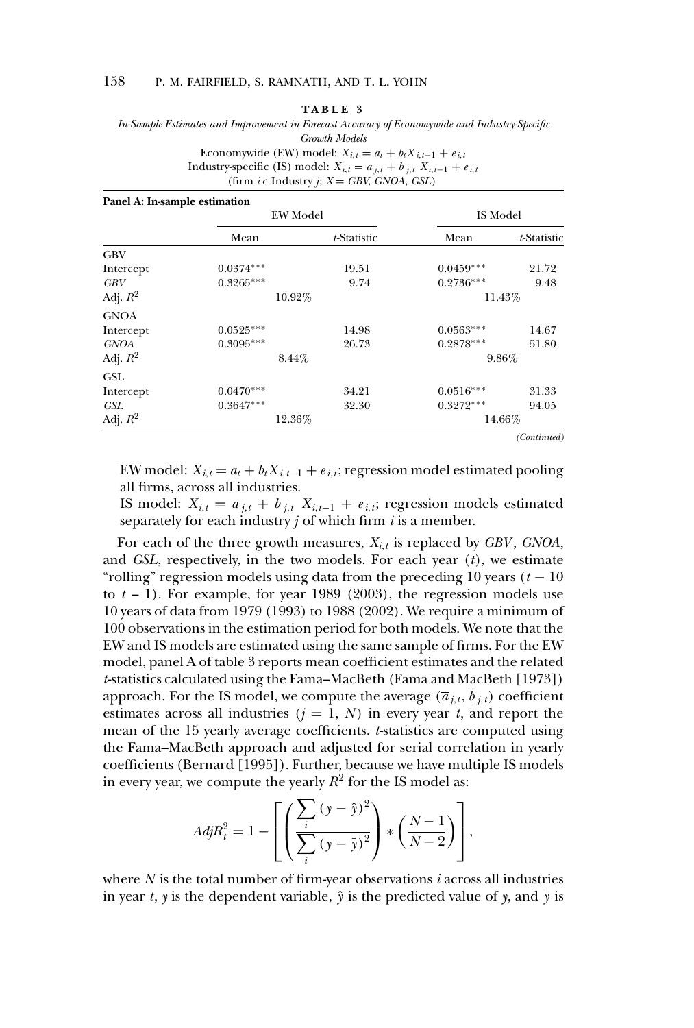#### **TABLE 3**

*In-Sample Estimates and Improvement in Forecast Accuracy of Economywide and Industry-Specific*

*Growth Models*

Economywide (EW) model:  $X_{i,t} = a_t + b_t X_{i,t-1} + e_{i,t}$ Industry-specific (IS) model: *Xi*,*<sup>t</sup>* = *a <sup>j</sup>*,*<sup>t</sup>* + *b <sup>j</sup>*,*<sup>t</sup> Xi*,*t*−<sup>1</sup> + *ei*,*<sup>t</sup>*

(firm  $i \in$  Industry  $j$ ;  $X = GBV$ ,  $GNOA$ ,  $GSL$ )

| Panel A: In-sample estimation |                 |             |             |                           |
|-------------------------------|-----------------|-------------|-------------|---------------------------|
|                               | <b>EW Model</b> |             | IS Model    |                           |
|                               | Mean            | t-Statistic | Mean        | t-Statistic               |
| <b>GBV</b>                    |                 |             |             |                           |
| Intercept                     | $0.0374***$     | 19.51       | $0.0459***$ | 21.72                     |
| GBV                           | $0.3265***$     | 9.74        | $0.2736***$ | 9.48                      |
| Adj. $R^2$                    | 10.92%          |             |             | 11.43%                    |
| <b>GNOA</b>                   |                 |             |             |                           |
| Intercept                     | $0.0525***$     | 14.98       | $0.0563***$ | 14.67                     |
| <b>GNOA</b>                   | $0.3095***$     | 26.73       | $0.2878***$ | 51.80                     |
| Adj. $R^2$                    | $8.44\%$        |             |             | $9.86\%$                  |
| <b>GSL</b>                    |                 |             |             |                           |
| Intercept                     | $0.0470***$     | 34.21       | $0.0516***$ | 31.33                     |
| GSL                           | $0.3647***$     | 32.30       | $0.3272***$ | 94.05                     |
| Adj. $R^2$                    | 12.36%          |             |             | 14.66%                    |
|                               |                 |             |             | $(C_{\text{confinarad}})$ |

*(Continued)*

EW model:  $X_{i,t} = a_t + b_t X_{i,t-1} + e_{i,t}$ ; regression model estimated pooling all firms, across all industries.

IS model:  $X_{i,t} = a_{i,t} + b_{i,t} X_{i,t-1} + e_{i,t}$ ; regression models estimated separately for each industry *j* of which firm *i* is a member.

For each of the three growth measures,  $X_{i,t}$  is replaced by *GBV*, *GNOA*, and *GSL*, respectively, in the two models. For each year (*t*), we estimate "rolling" regression models using data from the preceding 10 years (*t* − 10 to  $t - 1$ ). For example, for year 1989 (2003), the regression models use 10 years of data from 1979 (1993) to 1988 (2002). We require a minimum of 100 observations in the estimation period for both models. We note that the EW and IS models are estimated using the same sample of firms. For the EW model, panel A of table 3 reports mean coefficient estimates and the related *t*-statistics calculated using the Fama–MacBeth (Fama and MacBeth [1973]) approach. For the IS model, we compute the average  $(\overline{a}_{j,t}, \overline{b}_{j,t})$  coefficient estimates across all industries  $(j = 1, N)$  in every year *t*, and report the mean of the 15 yearly average coefficients. *t*-statistics are computed using the Fama–MacBeth approach and adjusted for serial correlation in yearly coefficients (Bernard [1995]). Further, because we have multiple IS models in every year, we compute the yearly  $R^2$  for the IS model as:

$$
AdjR_t^2 = 1 - \left[ \left( \frac{\sum_i (y - \hat{y})^2}{\sum_i (y - \bar{y})^2} \right) * \left( \frac{N - 1}{N - 2} \right) \right],
$$

where *N* is the total number of firm-year observations *i* across all industries in year *t*, *y* is the dependent variable,  $\hat{y}$  is the predicted value of *y*, and  $\bar{y}$  is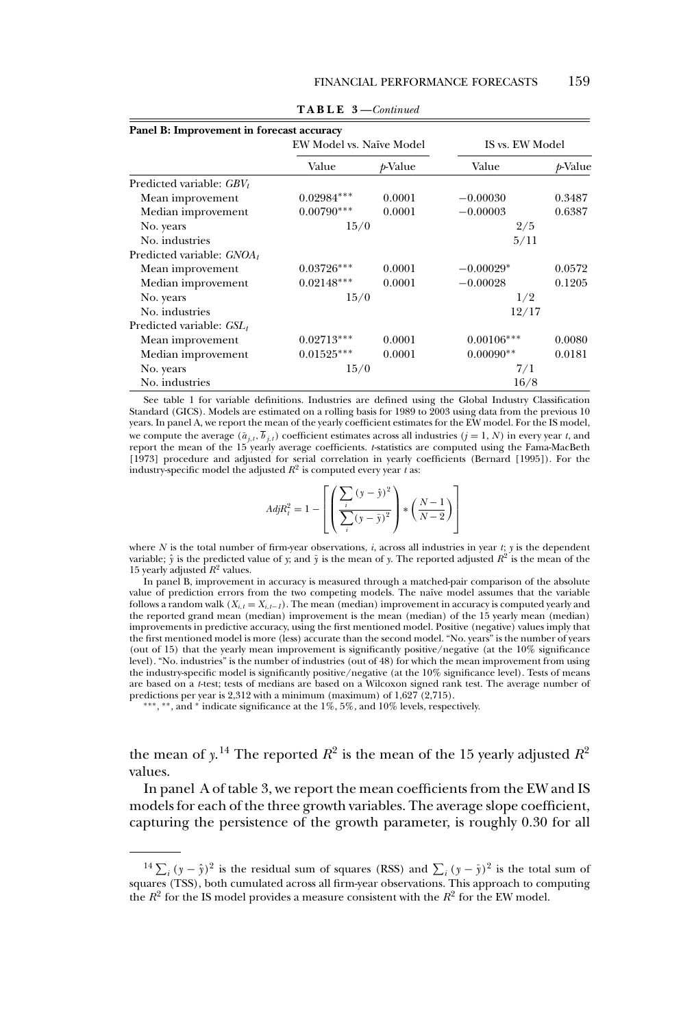| Panel B: Improvement in forecast accuracy |                          |            |                 |         |
|-------------------------------------------|--------------------------|------------|-----------------|---------|
|                                           | EW Model vs. Naïve Model |            | IS vs. EW Model |         |
|                                           | Value                    | $p$ -Value | Value           | p-Value |
| Predicted variable: $GBV_t$               |                          |            |                 |         |
| Mean improvement                          | $0.02984***$             | 0.0001     | $-0.00030$      | 0.3487  |
| Median improvement                        | $0.00790***$             | 0.0001     | $-0.00003$      | 0.6387  |
| No. years                                 | 15/0                     |            | 2/5             |         |
| No. industries                            |                          |            | 5/11            |         |
| Predicted variable: $GNOA_t$              |                          |            |                 |         |
| Mean improvement                          | $0.03726***$             | 0.0001     | $-0.00029*$     | 0.0572  |
| Median improvement                        | $0.02148***$             | 0.0001     | $-0.00028$      | 0.1205  |
| No. years                                 | 15/0                     |            | 1/2             |         |
| No. industries                            |                          |            | 12/17           |         |
| Predicted variable: $GSLt$                |                          |            |                 |         |
| Mean improvement                          | $0.02713***$             | 0.0001     | $0.00106***$    | 0.0080  |
| Median improvement                        | $0.01525***$             | 0.0001     | $0.00090**$     | 0.0181  |
| No. years                                 | 15/0                     |            | 7/1             |         |
| No. industries                            |                          |            | 16/8            |         |

**TABLE 3** —*Continued*

See table 1 for variable definitions. Industries are defined using the Global Industry Classification Standard (GICS). Models are estimated on a rolling basis for 1989 to 2003 using data from the previous 10 years. In panel A, we report the mean of the yearly coefficient estimates for the EW model. For the IS model, we compute the average  $(\bar{a}_{j,t}, \bar{b}_{j,t})$  coefficient estimates across all industries  $(j = 1, N)$  in every year *t*, and report the mean of the 15 yearly average coefficients. *t*-statistics are computed using the Fama-MacBeth [1973] procedure and adjusted for serial correlation in yearly coefficients (Bernard [1995]). For the industry-specific model the adjusted  $R^2$  is computed every year *t* as:

> $Adj R_t^2 = 1 -$ Г  $\sqrt{2}$  $\overline{\phantom{a}}$ ᠶ  $\sum_i$   $(y - \hat{y})^2$ ᠶ  $\sum_i (y - \bar{y})^2$ J.  $*$   $\left(\frac{N-1}{N-2}\right)$ *N* − 2  $\lambda$ ٦  $\begin{array}{c} \hline \end{array}$

where *N* is the total number of firm-year observations, *i*, across all industries in year *t*; *y* is the dependent variable;  $\hat{y}$  is the predicted value of *y*; and  $\bar{y}$  is the mean of *y*. The reported adjusted  $R^2$  is the mean of the 15 yearly adjusted *R*<sup>2</sup> values.

In panel B, improvement in accuracy is measured through a matched-pair comparison of the absolute value of prediction errors from the two competing models. The naïve model assumes that the variable follows a random walk ( $X_{i,t} = X_{i,t-1}$ ). The mean (median) improvement in accuracy is computed yearly and the reported grand mean (median) improvement is the mean (median) of the 15 yearly mean (median) improvements in predictive accuracy, using the first mentioned model. Positive (negative) values imply that the first mentioned model is more (less) accurate than the second model. "No. years" is the number of years (out of 15) that the yearly mean improvement is significantly positive/negative (at the 10% significance level). "No. industries" is the number of industries (out of 48) for which the mean improvement from using the industry-specific model is significantly positive/negative (at the 10% significance level). Tests of means are based on a *t*-test; tests of medians are based on a Wilcoxon signed rank test. The average number of predictions per year is 2,312 with a minimum (maximum) of  $1,627(2,715)$ .

∗∗∗, ∗∗, and ∗ indicate significance at the 1%, 5%, and 10% levels, respectively.

the mean of y.<sup>14</sup> The reported  $R^2$  is the mean of the 15 yearly adjusted  $R^2$ values.

In panel A of table 3, we report the mean coefficients from the EW and IS models for each of the three growth variables. The average slope coefficient, capturing the persistence of the growth parameter, is roughly 0.30 for all

<sup>&</sup>lt;sup>14</sup>  $\sum_i (y - \hat{y})^2$  is the residual sum of squares (RSS) and  $\sum_i (y - \bar{y})^2$  is the total sum of squares (TSS), both cumulated across all firm-year observations. This approach to computing the  $R^2$  for the IS model provides a measure consistent with the  $R^2$  for the EW model.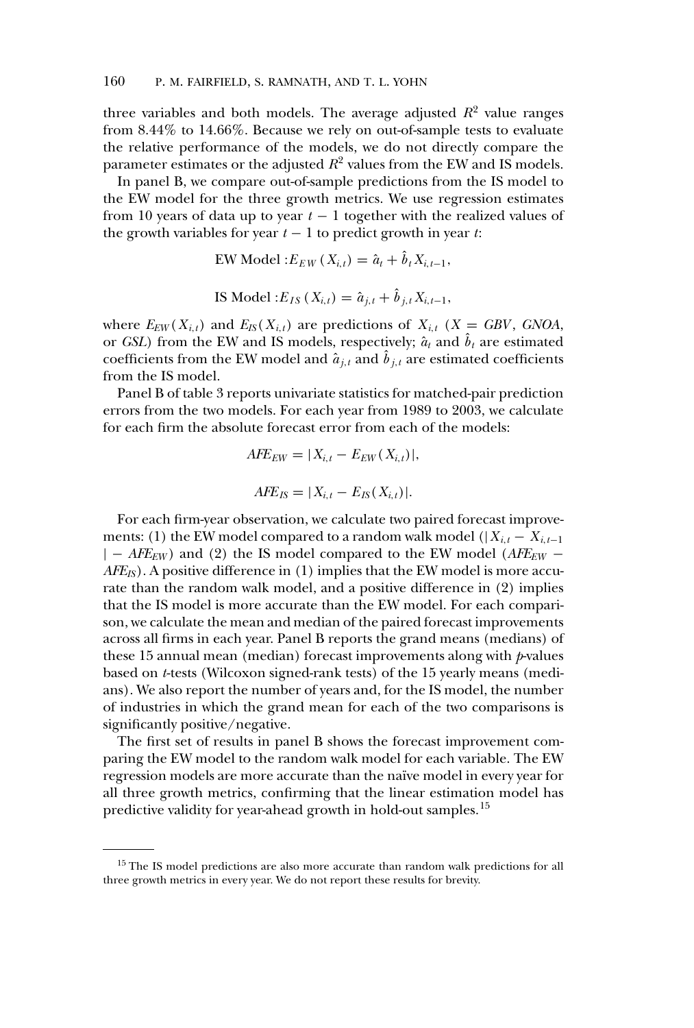three variables and both models. The average adjusted  $R^2$  value ranges from 8.44% to 14.66%. Because we rely on out-of-sample tests to evaluate the relative performance of the models, we do not directly compare the parameter estimates or the adjusted  $R^2$  values from the EW and IS models.

In panel B, we compare out-of-sample predictions from the IS model to the EW model for the three growth metrics. We use regression estimates from 10 years of data up to year  $t - 1$  together with the realized values of the growth variables for year  $t - 1$  to predict growth in year  $t$ :

$$
EW Model: E_{EW}(X_{i,t}) = \hat{a}_t + \hat{b}_t X_{i,t-1},
$$

IS Model :
$$
E_{IS}(X_{i,t}) = \hat{a}_{j,t} + \hat{b}_{j,t} X_{i,t-1}
$$
,

where  $E_{EW}(X_{i,t})$  and  $E_{IS}(X_{i,t})$  are predictions of  $X_{i,t}$  ( $X = GBV$ , *GNOA*, or *GSL*) from the EW and IS models, respectively;  $\hat{a}_t$  and  $\hat{b}_t$  are estimated coefficients from the EW model and  $\hat{a}_{i,t}$  and  $\hat{b}_{i,t}$  are estimated coefficients from the IS model.

Panel B of table 3 reports univariate statistics for matched-pair prediction errors from the two models. For each year from 1989 to 2003, we calculate for each firm the absolute forecast error from each of the models:

$$
AFE_{EW} = |X_{i,t} - E_{EW}(X_{i,t})|,
$$
  

$$
AFE_{IS} = |X_{i,t} - E_{IS}(X_{i,t})|.
$$

For each firm-year observation, we calculate two paired forecast improvements: (1) the EW model compared to a random walk model ( $|X_{i,t} - X_{i,t-1}|$ | − *AFEEW* ) and (2) the IS model compared to the EW model (*AFEEW* −  $AFE_{IS}$ ). A positive difference in (1) implies that the EW model is more accurate than the random walk model, and a positive difference in (2) implies that the IS model is more accurate than the EW model. For each comparison, we calculate the mean and median of the paired forecast improvements across all firms in each year. Panel B reports the grand means (medians) of these 15 annual mean (median) forecast improvements along with *p*-values based on *t*-tests (Wilcoxon signed-rank tests) of the 15 yearly means (medians). We also report the number of years and, for the IS model, the number of industries in which the grand mean for each of the two comparisons is significantly positive/negative.

The first set of results in panel B shows the forecast improvement comparing the EW model to the random walk model for each variable. The EW regression models are more accurate than the naïve model in every year for all three growth metrics, confirming that the linear estimation model has predictive validity for year-ahead growth in hold-out samples.<sup>15</sup>

<sup>&</sup>lt;sup>15</sup> The IS model predictions are also more accurate than random walk predictions for all three growth metrics in every year. We do not report these results for brevity.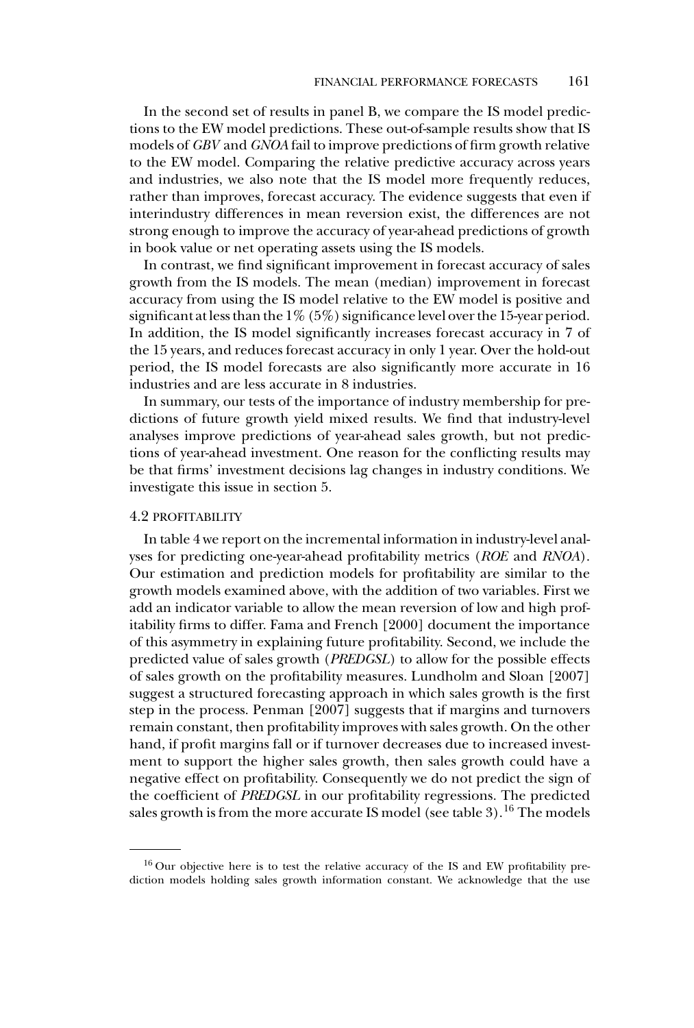In the second set of results in panel B, we compare the IS model predictions to the EW model predictions. These out-of-sample results show that IS models of *GBV* and *GNOA* fail to improve predictions of firm growth relative to the EW model. Comparing the relative predictive accuracy across years and industries, we also note that the IS model more frequently reduces, rather than improves, forecast accuracy. The evidence suggests that even if interindustry differences in mean reversion exist, the differences are not strong enough to improve the accuracy of year-ahead predictions of growth in book value or net operating assets using the IS models.

In contrast, we find significant improvement in forecast accuracy of sales growth from the IS models. The mean (median) improvement in forecast accuracy from using the IS model relative to the EW model is positive and significant at less than the 1% (5%) significance level over the 15-year period. In addition, the IS model significantly increases forecast accuracy in 7 of the 15 years, and reduces forecast accuracy in only 1 year. Over the hold-out period, the IS model forecasts are also significantly more accurate in 16 industries and are less accurate in 8 industries.

In summary, our tests of the importance of industry membership for predictions of future growth yield mixed results. We find that industry-level analyses improve predictions of year-ahead sales growth, but not predictions of year-ahead investment. One reason for the conflicting results may be that firms' investment decisions lag changes in industry conditions. We investigate this issue in section 5.

## 4.2 PROFITABILITY

In table 4 we report on the incremental information in industry-level analyses for predicting one-year-ahead profitability metrics (*ROE* and *RNOA*). Our estimation and prediction models for profitability are similar to the growth models examined above, with the addition of two variables. First we add an indicator variable to allow the mean reversion of low and high profitability firms to differ. Fama and French [2000] document the importance of this asymmetry in explaining future profitability. Second, we include the predicted value of sales growth (*PREDGSL*) to allow for the possible effects of sales growth on the profitability measures. Lundholm and Sloan [2007] suggest a structured forecasting approach in which sales growth is the first step in the process. Penman [2007] suggests that if margins and turnovers remain constant, then profitability improves with sales growth. On the other hand, if profit margins fall or if turnover decreases due to increased investment to support the higher sales growth, then sales growth could have a negative effect on profitability. Consequently we do not predict the sign of the coefficient of *PREDGSL* in our profitability regressions. The predicted sales growth is from the more accurate IS model (see table 3).<sup>16</sup> The models

<sup>16</sup> Our objective here is to test the relative accuracy of the IS and EW profitability prediction models holding sales growth information constant. We acknowledge that the use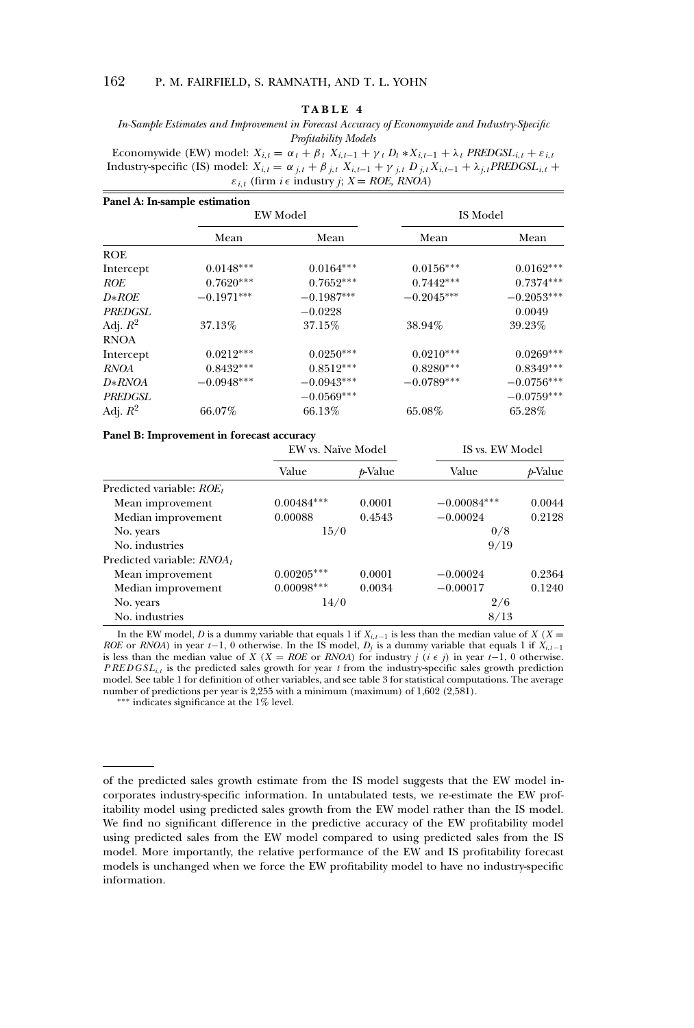#### **TABLE 4**

*In-Sample Estimates and Improvement in Forecast Accuracy of Economywide and Industry-Specific Profitability Models*

Economywide (EW) model:  $X_{i,t} = \alpha_t + \beta_t X_{i,t-1} + \gamma_t D_t * X_{i,t-1} + \lambda_t PREDGSL_{i,t} + \varepsilon_{i,t}$ Industry-specific (IS) model:  $X_{i,t} = \alpha_{j,t} + \beta_{j,t} X_{i,t-1} + \gamma_{j,t} D_{j,t} X_{i,t-1} + \lambda_{j,t} PREDGSL_{i,t}$  +  $\varepsilon_{i,t}$  (firm  $i \in \text{industry } j$ ;  $X = ROE$ , *RNOA*)

|             | Panel A: In-sample estimation |                 |                 |                  |
|-------------|-------------------------------|-----------------|-----------------|------------------|
|             |                               | <b>EW</b> Model | <b>IS Model</b> |                  |
|             | Mean                          | Mean            | Mean            | Mean             |
| <b>ROE</b>  |                               |                 |                 |                  |
| Intercept   | $0.0148***$                   | $0.0164***$     | $0.0156***$     | $0.0162^{***}\,$ |
| <b>ROE</b>  | $0.7620***$                   | $0.7652***$     | $0.7442***$     | $0.7374***$      |
| $D*ROE$     | $-0.1971***$                  | $-0.1987***$    | $-0.2045***$    | $-0.2053***$     |
| PREDGSL     |                               | $-0.0228$       |                 | 0.0049           |
| Adj. $R^2$  | 37.13%                        | 37.15%          | 38.94%          | 39.23%           |
| <b>RNOA</b> |                               |                 |                 |                  |
| Intercept   | $0.0212***$                   | $0.0250***$     | $0.0210***$     | $0.0269***$      |
| <b>RNOA</b> | $0.8432***$                   | $0.8512***$     | $0.8280***$     | $0.8349***$      |
| $D*RNOA$    | $-0.0948***$                  | $-0.0943***$    | $-0.0789***$    | $-0.0756***$     |
| PREDGSL     |                               | $-0.0569***$    |                 | $-0.0759***$     |
| Adj. $R^2$  | 66.07%                        | 66.13%          | 65.08%          | 65.28%           |

#### **Panel B: Improvement in forecast accuracy**

|                              | EW VS. INAIVE MOUCH |                 | 10 VS. EW MOUCI |               |
|------------------------------|---------------------|-----------------|-----------------|---------------|
|                              | Value               | <i>t</i> -Value | Value           | $\n  b-Value$ |
| Predicted variable: $ROE_t$  |                     |                 |                 |               |
| Mean improvement             | $0.00484***$        | 0.0001          | $-0.00084***$   | 0.0044        |
| Median improvement           | 0.00088             | 0.4543          | $-0.00024$      | 0.2128        |
| No. years                    | 15/0                |                 | 0/8             |               |
| No. industries               |                     |                 | 9/19            |               |
| Predicted variable: $RNOA_t$ |                     |                 |                 |               |
| Mean improvement             | $0.00205***$        | 0.0001          | $-0.00024$      | 0.2364        |
| Median improvement           | $0.00098***$        | 0.0034          | $-0.00017$      | 0.1240        |
| No. years                    | 14/0                |                 | 2/6             |               |
| No. industries               |                     |                 | 8/13            |               |

EW vs. Na¨ıve Model IS vs. EW Model

In the EW model, *D* is a dummy variable that equals 1 if  $X_{i,t-1}$  is less than the median value of *X* (*X* = *ROE* or *RNOA*) in year *t*−1, 0 otherwise. In the IS model,  $D_j$  is a dummy variable that equals 1 if  $X_{i,t-1}$ is less than the median value of *X* (*X* = *ROE* or *RNOA*) for industry *j* ( $i \in j$ ) in year *t*−1, 0 otherwise. *PREDGSLi*,*<sup>t</sup>* is the predicted sales growth for year *t* from the industry-specific sales growth prediction model. See table 1 for definition of other variables, and see table 3 for statistical computations. The average number of predictions per year is 2,255 with a minimum (maximum) of 1,602 (2,581).

∗∗∗ indicates significance at the 1% level.

of the predicted sales growth estimate from the IS model suggests that the EW model incorporates industry-specific information. In untabulated tests, we re-estimate the EW profitability model using predicted sales growth from the EW model rather than the IS model. We find no significant difference in the predictive accuracy of the EW profitability model using predicted sales from the EW model compared to using predicted sales from the IS model. More importantly, the relative performance of the EW and IS profitability forecast models is unchanged when we force the EW profitability model to have no industry-specific information.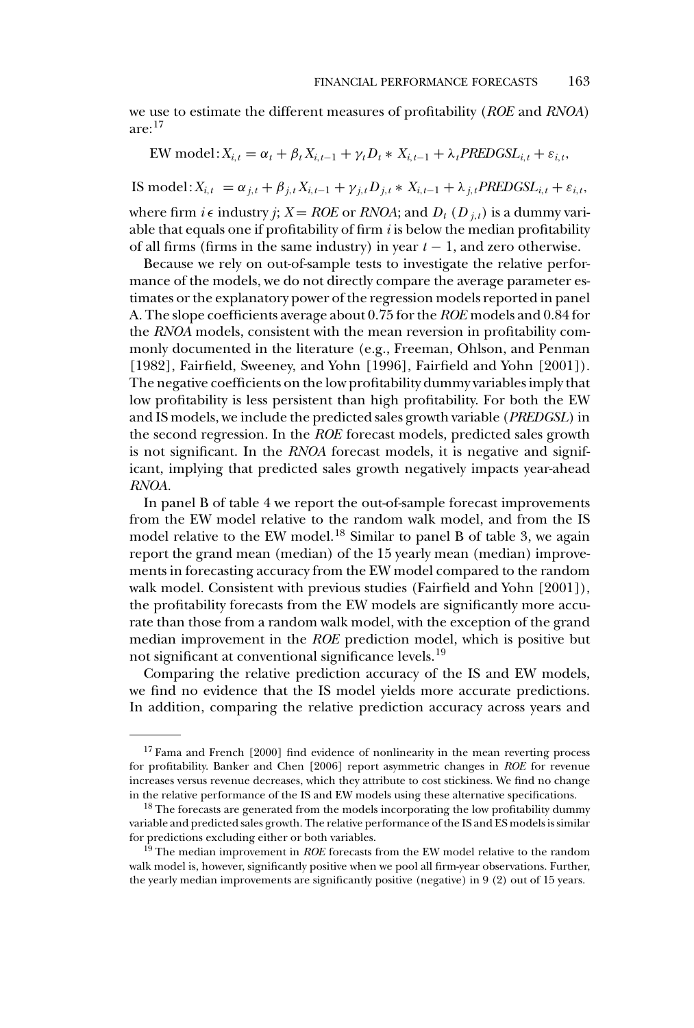we use to estimate the different measures of profitability (*ROE* and *RNOA*) are:<sup>17</sup>

EW model:  $X_{i,t} = \alpha_t + \beta_t X_{i,t-1} + \gamma_t D_t * X_{i,t-1} + \lambda_t PREDGSL_{i,t} + \varepsilon_{i,t}$ 

IS model:*Xi*,*<sup>t</sup>* = α*j*,*<sup>t</sup>* + β*j*,*<sup>t</sup> Xi*,*t*−<sup>1</sup> + γ*j*,*<sup>t</sup> D <sup>j</sup>*,*<sup>t</sup>* ∗ *Xi*,*t*−<sup>1</sup> + λ*j*,*tPREDGSLi*,*<sup>t</sup>* + ε*i*,*t*,

where firm  $i \in \text{industry } j$ ;  $X = ROE$  or *RNOA*; and  $D_t$  ( $D_{i,t}$ ) is a dummy variable that equals one if profitability of firm *i* is below the median profitability of all firms (firms in the same industry) in year *t* − 1, and zero otherwise.

Because we rely on out-of-sample tests to investigate the relative performance of the models, we do not directly compare the average parameter estimates or the explanatory power of the regression models reported in panel A. The slope coefficients average about 0.75 for the *ROE* models and 0.84 for the *RNOA* models, consistent with the mean reversion in profitability commonly documented in the literature (e.g., Freeman, Ohlson, and Penman [1982], Fairfield, Sweeney, and Yohn [1996], Fairfield and Yohn [2001]). The negative coefficients on the low profitability dummy variables imply that low profitability is less persistent than high profitability. For both the EW and IS models, we include the predicted sales growth variable (*PREDGSL*) in the second regression. In the *ROE* forecast models, predicted sales growth is not significant. In the *RNOA* forecast models, it is negative and significant, implying that predicted sales growth negatively impacts year-ahead *RNOA*.

In panel B of table 4 we report the out-of-sample forecast improvements from the EW model relative to the random walk model, and from the IS model relative to the EW model.<sup>18</sup> Similar to panel B of table 3, we again report the grand mean (median) of the 15 yearly mean (median) improvements in forecasting accuracy from the EW model compared to the random walk model. Consistent with previous studies (Fairfield and Yohn [2001]), the profitability forecasts from the EW models are significantly more accurate than those from a random walk model, with the exception of the grand median improvement in the *ROE* prediction model, which is positive but not significant at conventional significance levels.<sup>19</sup>

Comparing the relative prediction accuracy of the IS and EW models, we find no evidence that the IS model yields more accurate predictions. In addition, comparing the relative prediction accuracy across years and

<sup>&</sup>lt;sup>17</sup> Fama and French [2000] find evidence of nonlinearity in the mean reverting process for profitability. Banker and Chen [2006] report asymmetric changes in *ROE* for revenue increases versus revenue decreases, which they attribute to cost stickiness. We find no change in the relative performance of the IS and EW models using these alternative specifications.

<sup>&</sup>lt;sup>18</sup> The forecasts are generated from the models incorporating the low profitability dummy variable and predicted sales growth. The relative performance of the IS and ES models is similar for predictions excluding either or both variables.

<sup>19</sup> The median improvement in *ROE* forecasts from the EW model relative to the random walk model is, however, significantly positive when we pool all firm-year observations. Further, the yearly median improvements are significantly positive (negative) in 9 (2) out of 15 years.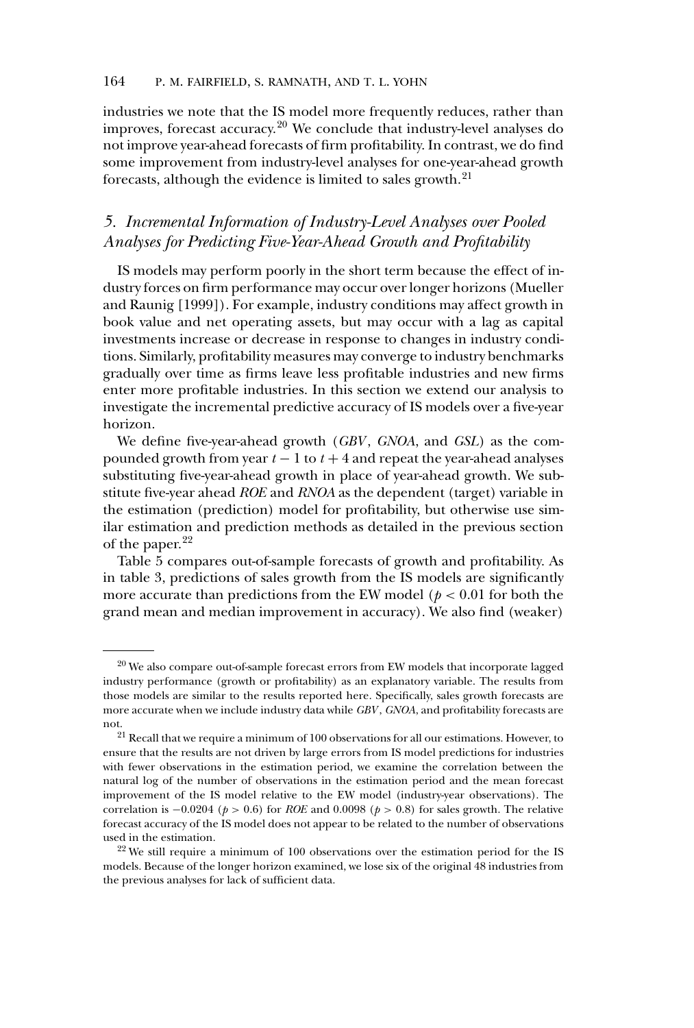industries we note that the IS model more frequently reduces, rather than improves, forecast accuracy.<sup>20</sup> We conclude that industry-level analyses do not improve year-ahead forecasts of firm profitability. In contrast, we do find some improvement from industry-level analyses for one-year-ahead growth forecasts, although the evidence is limited to sales growth. $21$ 

## *5. Incremental Information of Industry-Level Analyses over Pooled Analyses for Predicting Five-Year-Ahead Growth and Profitability*

IS models may perform poorly in the short term because the effect of industry forces on firm performance may occur over longer horizons (Mueller and Raunig [1999]). For example, industry conditions may affect growth in book value and net operating assets, but may occur with a lag as capital investments increase or decrease in response to changes in industry conditions. Similarly, profitability measures may converge to industry benchmarks gradually over time as firms leave less profitable industries and new firms enter more profitable industries. In this section we extend our analysis to investigate the incremental predictive accuracy of IS models over a five-year horizon.

We define five-year-ahead growth (*GBV*, *GNOA*, and *GSL*) as the compounded growth from year  $t - 1$  to  $t + 4$  and repeat the year-ahead analyses substituting five-year-ahead growth in place of year-ahead growth. We substitute five-year ahead *ROE* and *RNOA* as the dependent (target) variable in the estimation (prediction) model for profitability, but otherwise use similar estimation and prediction methods as detailed in the previous section of the paper.<sup>22</sup>

Table 5 compares out-of-sample forecasts of growth and profitability. As in table 3, predictions of sales growth from the IS models are significantly more accurate than predictions from the EW model ( $p < 0.01$  for both the grand mean and median improvement in accuracy). We also find (weaker)

 $20$  We also compare out-of-sample forecast errors from EW models that incorporate lagged industry performance (growth or profitability) as an explanatory variable. The results from those models are similar to the results reported here. Specifically, sales growth forecasts are more accurate when we include industry data while *GBV* , *GNOA*, and profitability forecasts are

not.<br><sup>21</sup> Recall that we require a minimum of 100 observations for all our estimations. However, to ensure that the results are not driven by large errors from IS model predictions for industries with fewer observations in the estimation period, we examine the correlation between the natural log of the number of observations in the estimation period and the mean forecast improvement of the IS model relative to the EW model (industry-year observations). The correlation is  $-0.0204$  ( $p > 0.6$ ) for *ROE* and 0.0098 ( $p > 0.8$ ) for sales growth. The relative forecast accuracy of the IS model does not appear to be related to the number of observations used in the estimation.

 $22$  We still require a minimum of 100 observations over the estimation period for the IS models. Because of the longer horizon examined, we lose six of the original 48 industries from the previous analyses for lack of sufficient data.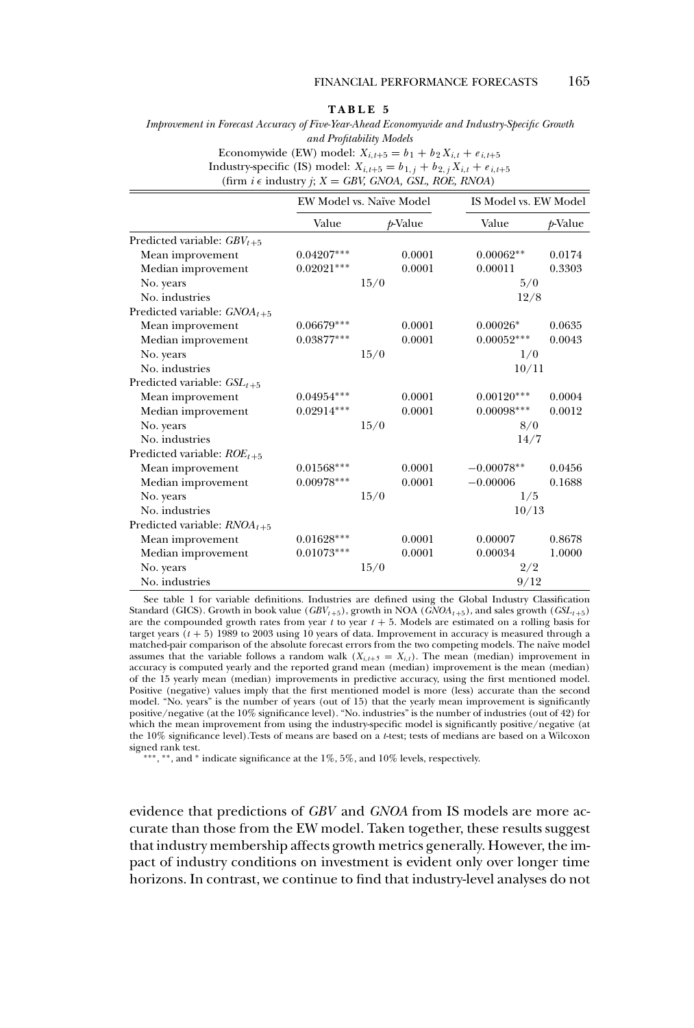#### **TABLE 5**

*Improvement in Forecast Accuracy of Five-Year-Ahead Economywide and Industry-Specific Growth and Profitability Models* Economywide (EW) model:  $X_{i,t+5} = b_1 + b_2 X_{i,t} + e_{i,t+5}$ Industry-specific (IS) model:  $X_{i,t+5} = b_{1,j} + b_{2,j} X_{i,t} + e_{i,t+5}$ (firm  $i \in \text{industry } j$ ;  $X = GBV$ , *GNOA*, *GSL*, *ROE*, *RNOA*)

|                                  |              | EW Model vs. Naïve Model | IS Model vs. EW Model |         |
|----------------------------------|--------------|--------------------------|-----------------------|---------|
|                                  | Value        | $p$ -Value               | Value                 | p-Value |
| Predicted variable: $GBV_{t+5}$  |              |                          |                       |         |
| Mean improvement                 | $0.04207***$ | 0.0001                   | $0.00062**$           | 0.0174  |
| Median improvement               | $0.02021***$ | 0.0001                   | 0.00011               | 0.3303  |
| No. years                        |              | 15/0                     | 5/0                   |         |
| No. industries                   |              |                          | 12/8                  |         |
| Predicted variable: $GNOA_{t+5}$ |              |                          |                       |         |
| Mean improvement                 | $0.06679***$ | 0.0001                   | $0.00026*$            | 0.0635  |
| Median improvement               | $0.03877***$ | 0.0001                   | $0.00052***$          | 0.0043  |
| No. years                        |              | 15/0                     | 1/0                   |         |
| No. industries                   |              |                          | 10/11                 |         |
| Predicted variable: $GSL_{t+5}$  |              |                          |                       |         |
| Mean improvement                 | $0.04954***$ | 0.0001                   | $0.00120***$          | 0.0004  |
| Median improvement               | $0.02914***$ | 0.0001                   | $0.00098***$          | 0.0012  |
| No. years                        |              | 15/0                     | 8/0                   |         |
| No. industries                   |              |                          | 14/7                  |         |
| Predicted variable: $ROE_{t+5}$  |              |                          |                       |         |
| Mean improvement                 | $0.01568***$ | 0.0001                   | $-0.00078**$          | 0.0456  |
| Median improvement               | $0.00978***$ | 0.0001                   | $-0.00006$            | 0.1688  |
| No. years                        |              | 15/0                     | 1/5                   |         |
| No. industries                   |              |                          | 10/13                 |         |
| Predicted variable: $RNOA_{t+5}$ |              |                          |                       |         |
| Mean improvement                 | $0.01628***$ | 0.0001                   | 0.00007               | 0.8678  |
| Median improvement               | $0.01073***$ | 0.0001                   | 0.00034               | 1.0000  |
| No. years                        |              | 15/0                     | 2/2                   |         |
| No. industries                   |              |                          | 9/12                  |         |

See table 1 for variable definitions. Industries are defined using the Global Industry Classification Standard (GICS). Growth in book value ( $GBV_{t+5}$ ), growth in NOA ( $GNOA_{t+5}$ ), and sales growth ( $GSL_{t+5}$ ) are the compounded growth rates from year  $t$  to year  $t + 5$ . Models are estimated on a rolling basis for target years  $(t + 5)$  1989 to 2003 using 10 years of data. Improvement in accuracy is measured through a matched-pair comparison of the absolute forecast errors from the two competing models. The naïve model assumes that the variable follows a random walk  $(X_{i,t+5} = X_{i,t})$ . The mean (median) improvement in accuracy is computed yearly and the reported grand mean (median) improvement is the mean (median) of the 15 yearly mean (median) improvements in predictive accuracy, using the first mentioned model. Positive (negative) values imply that the first mentioned model is more (less) accurate than the second model. "No. years" is the number of years (out of 15) that the yearly mean improvement is significantly positive/negative (at the 10% significance level). "No. industries" is the number of industries (out of 42) for which the mean improvement from using the industry-specific model is significantly positive/negative (at the 10% significance level).Tests of means are based on a *t*-test; tests of medians are based on a Wilcoxon signed rank test.

∗∗∗, ∗∗, and ∗ indicate significance at the 1%, 5%, and 10% levels, respectively.

evidence that predictions of *GBV* and *GNOA* from IS models are more accurate than those from the EW model. Taken together, these results suggest that industry membership affects growth metrics generally. However, the impact of industry conditions on investment is evident only over longer time horizons. In contrast, we continue to find that industry-level analyses do not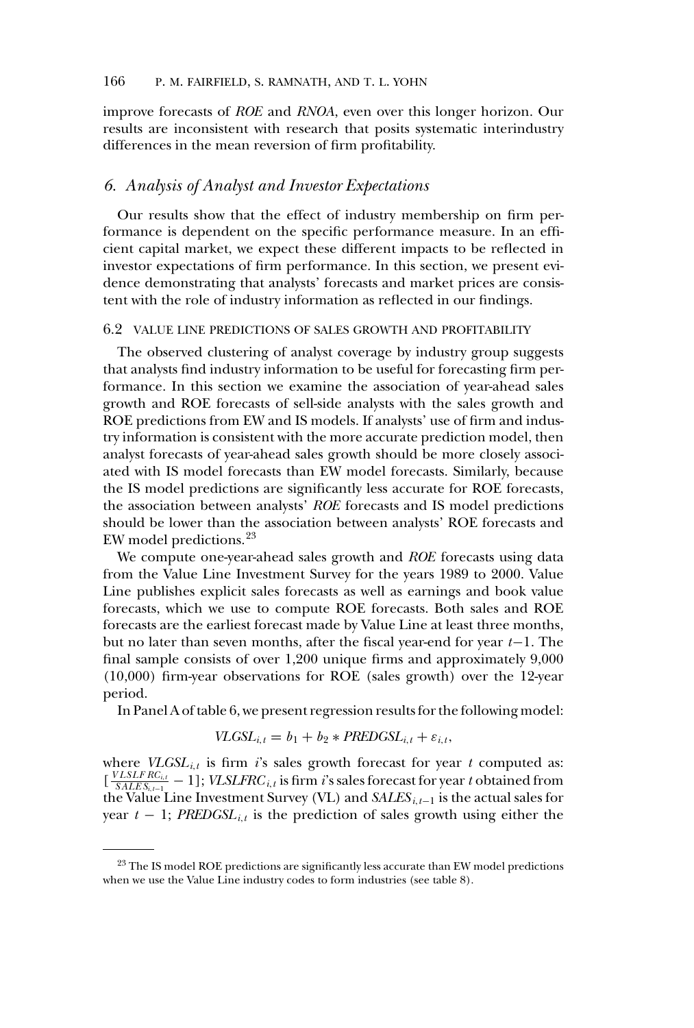#### 166 P. M. FAIRFIELD, S. RAMNATH, AND T. L. YOHN

improve forecasts of *ROE* and *RNOA*, even over this longer horizon. Our results are inconsistent with research that posits systematic interindustry differences in the mean reversion of firm profitability.

#### *6. Analysis of Analyst and Investor Expectations*

Our results show that the effect of industry membership on firm performance is dependent on the specific performance measure. In an efficient capital market, we expect these different impacts to be reflected in investor expectations of firm performance. In this section, we present evidence demonstrating that analysts' forecasts and market prices are consistent with the role of industry information as reflected in our findings.

#### 6.2 VALUE LINE PREDICTIONS OF SALES GROWTH AND PROFITABILITY

The observed clustering of analyst coverage by industry group suggests that analysts find industry information to be useful for forecasting firm performance. In this section we examine the association of year-ahead sales growth and ROE forecasts of sell-side analysts with the sales growth and ROE predictions from EW and IS models. If analysts' use of firm and industry information is consistent with the more accurate prediction model, then analyst forecasts of year-ahead sales growth should be more closely associated with IS model forecasts than EW model forecasts. Similarly, because the IS model predictions are significantly less accurate for ROE forecasts, the association between analysts' *ROE* forecasts and IS model predictions should be lower than the association between analysts' ROE forecasts and EW model predictions.<sup>23</sup>

We compute one-year-ahead sales growth and *ROE* forecasts using data from the Value Line Investment Survey for the years 1989 to 2000. Value Line publishes explicit sales forecasts as well as earnings and book value forecasts, which we use to compute ROE forecasts. Both sales and ROE forecasts are the earliest forecast made by Value Line at least three months, but no later than seven months, after the fiscal year-end for year *t*−1. The final sample consists of over 1,200 unique firms and approximately 9,000 (10,000) firm-year observations for ROE (sales growth) over the 12-year period.

In Panel A of table 6, we present regression results for the following model:

$$
VLSSL_{i,t} = b_1 + b_2 * PREDGSL_{i,t} + \varepsilon_{i,t},
$$

where  $VLSSL_{i,t}$  is firm *i*'s sales growth forecast for year *t* computed as:  $\left[\frac{VLSLFRC_{i,t}}{SALFS_{i,t-1}}-1\right]$ ; *VLSLFRC*<sub>*i*,*t*</sub> is firm *i*'s sales forecast for year *t* obtained from the Value Line Investment Survey (VL) and *SALES*<sub>*i*,*t*−1</sub> is the actual sales for year  $t - 1$ ; *PREDGSL<sub>i,t</sub>* is the prediction of sales growth using either the

<sup>&</sup>lt;sup>23</sup> The IS model ROE predictions are significantly less accurate than EW model predictions when we use the Value Line industry codes to form industries (see table 8).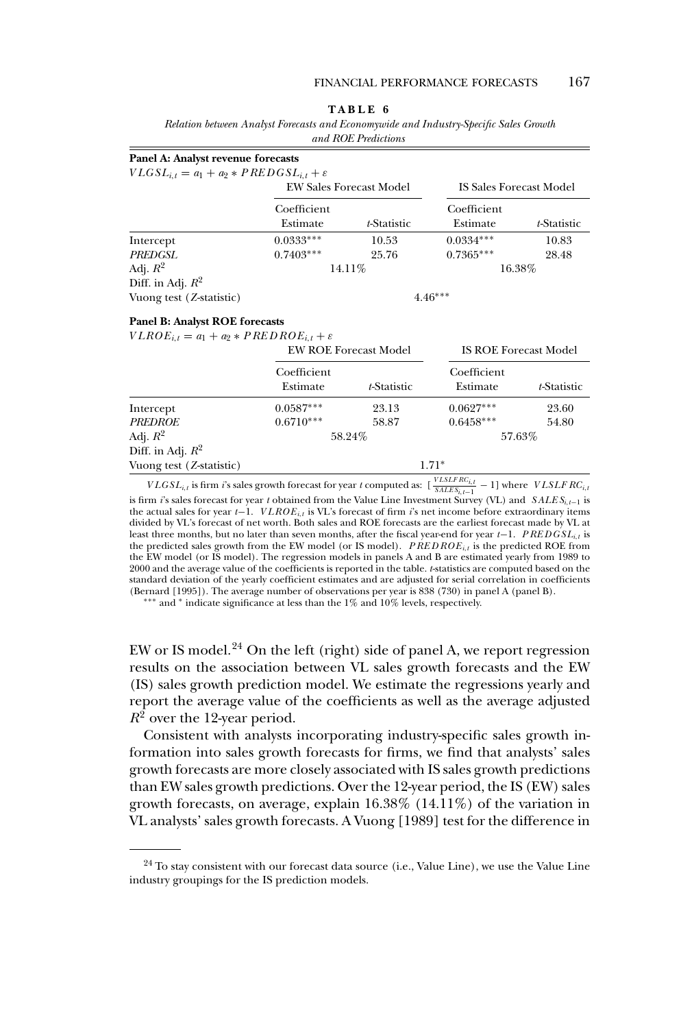| Retation between Analyst Forecasts and Economywiae and Inaustry-Specific Sales Growth |             | and ROE Predictions            |                         |                              |
|---------------------------------------------------------------------------------------|-------------|--------------------------------|-------------------------|------------------------------|
| Panel A: Analyst revenue forecasts                                                    |             |                                |                         |                              |
| $VLGSL_{i,t} = a_1 + a_2 * PREDGSL_{i,t} + \varepsilon$                               |             |                                |                         |                              |
|                                                                                       |             | <b>EW Sales Forecast Model</b> | IS Sales Forecast Model |                              |
|                                                                                       | Coefficient |                                | Coefficient             |                              |
|                                                                                       | Estimate    | t-Statistic                    | Estimate                | t-Statistic                  |
| Intercept                                                                             | $0.0333***$ | 10.53                          | $0.0334***$             | 10.83                        |
| <b>PREDGSL</b>                                                                        | $0.7403***$ | 25.76                          | $0.7365***$             | 28.48                        |
| Adj. $R^2$                                                                            |             | 14.11%                         | 16.38%                  |                              |
| Diff. in Adj. $R^2$                                                                   |             |                                |                         |                              |
| Vuong test (Z-statistic)                                                              |             |                                | $4.46***$               |                              |
| Panel B: Analyst ROE forecasts                                                        |             |                                |                         |                              |
| $VLROE_{i,t} = a_1 + a_2 * PREDROE_{i,t} + \varepsilon$                               |             |                                |                         |                              |
|                                                                                       |             | <b>EW ROE Forecast Model</b>   |                         | <b>IS ROE Forecast Model</b> |
|                                                                                       | Coefficient |                                | Coefficient             |                              |
|                                                                                       | Estimate    | t-Statistic                    | Estimate                | t-Statistic                  |
| Intercept                                                                             | $0.0587***$ | 23.13                          | $0.0627***$             | 23.60                        |
| <b>PREDROE</b>                                                                        | $0.6710***$ | 58.87                          | $0.6458***$             | 54.80                        |
| Adj. $R^2$                                                                            |             | 58.24%                         |                         | 57.63%                       |
| Diff. in Adj. $R^2$                                                                   |             |                                |                         |                              |
| Vuong test (Z-statistic)                                                              |             |                                | $1.71*$                 |                              |

**TABLE 6**

*Relation between Analyst Forecasts and Economywide and Industry-Specific Sales Growth*

*VLGSL<sub>i</sub>*,*t* is firm *i*'s sales growth forecast for year *t* computed as:  $\left[\frac{VLSLFRC_{i,t}}{SALES_{i,t-1}}-1\right]$  where *VLSLF RC<sub>i</sub>*,*t*<sup>1</sup> is firm *i*'s sales forecast for year *t* obtained from the Value Line Investment Survey (VL) and *SALE Si*,*t*−<sup>1</sup> is the actual sales for year *t*−1. *V LROEi*,*<sup>t</sup>* is VL's forecast of firm *i*'s net income before extraordinary items divided by VL's forecast of net worth. Both sales and ROE forecasts are the earliest forecast made by VL at least three months, but no later than seven months, after the fiscal year-end for year *t*−1. *PREDGSLi*,*<sup>t</sup>* is the predicted sales growth from the EW model (or IS model). *P RE DROEi*,*<sup>t</sup>* is the predicted ROE from the EW model (or IS model). The regression models in panels A and B are estimated yearly from 1989 to 2000 and the average value of the coefficients is reported in the table. *t*-statistics are computed based on the standard deviation of the yearly coefficient estimates and are adjusted for serial correlation in coefficients (Bernard [1995]). The average number of observations per year is 838 (730) in panel A (panel B).

∗∗∗ and ∗ indicate significance at less than the 1% and 10% levels, respectively.

EW or IS model. $24$  On the left (right) side of panel A, we report regression results on the association between VL sales growth forecasts and the EW (IS) sales growth prediction model. We estimate the regressions yearly and report the average value of the coefficients as well as the average adjusted *R*<sup>2</sup> over the 12-year period.

Consistent with analysts incorporating industry-specific sales growth information into sales growth forecasts for firms, we find that analysts' sales growth forecasts are more closely associated with IS sales growth predictions than EW sales growth predictions. Over the 12-year period, the IS (EW) sales growth forecasts, on average, explain 16.38% (14.11%) of the variation in VL analysts' sales growth forecasts. A Vuong [1989] test for the difference in

 $^{24}$  To stay consistent with our forecast data source (i.e., Value Line), we use the Value Line industry groupings for the IS prediction models.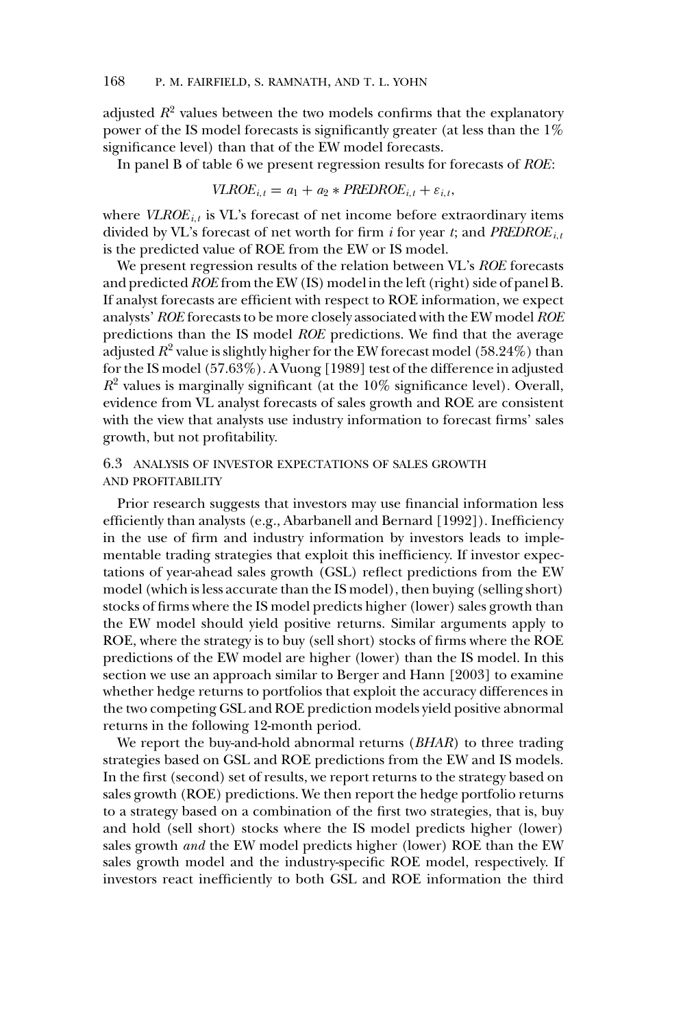adjusted  $R^2$  values between the two models confirms that the explanatory power of the IS model forecasts is significantly greater (at less than the 1% significance level) than that of the EW model forecasts.

In panel B of table 6 we present regression results for forecasts of *ROE*:

$$
VLROE_{i,t} = a_1 + a_2 * PREDROE_{i,t} + \varepsilon_{i,t},
$$

where  $VLROE_{i,t}$  is VL's forecast of net income before extraordinary items divided by VL's forecast of net worth for firm *i* for year *t*; and *PREDROE*<sub>*it*</sub> is the predicted value of ROE from the EW or IS model.

We present regression results of the relation between VL's *ROE* forecasts and predicted*ROE* from the EW (IS) model in the left (right) side of panel B. If analyst forecasts are efficient with respect to ROE information, we expect analysts' *ROE* forecasts to be more closely associated with the EW model *ROE* predictions than the IS model *ROE* predictions. We find that the average adjusted  $R^2$  value is slightly higher for the EW forecast model (58.24%) than for the IS model (57.63%). A Vuong [1989] test of the difference in adjusted  $R^2$  values is marginally significant (at the 10% significance level). Overall, evidence from VL analyst forecasts of sales growth and ROE are consistent with the view that analysts use industry information to forecast firms' sales growth, but not profitability.

## 6.3 ANALYSIS OF INVESTOR EXPECTATIONS OF SALES GROWTH AND PROFITABILITY

Prior research suggests that investors may use financial information less efficiently than analysts (e.g., Abarbanell and Bernard [1992]). Inefficiency in the use of firm and industry information by investors leads to implementable trading strategies that exploit this inefficiency. If investor expectations of year-ahead sales growth (GSL) reflect predictions from the EW model (which is less accurate than the IS model), then buying (selling short) stocks of firms where the IS model predicts higher (lower) sales growth than the EW model should yield positive returns. Similar arguments apply to ROE, where the strategy is to buy (sell short) stocks of firms where the ROE predictions of the EW model are higher (lower) than the IS model. In this section we use an approach similar to Berger and Hann [2003] to examine whether hedge returns to portfolios that exploit the accuracy differences in the two competing GSL and ROE prediction models yield positive abnormal returns in the following 12-month period.

We report the buy-and-hold abnormal returns (*BHAR*) to three trading strategies based on GSL and ROE predictions from the EW and IS models. In the first (second) set of results, we report returns to the strategy based on sales growth (ROE) predictions. We then report the hedge portfolio returns to a strategy based on a combination of the first two strategies, that is, buy and hold (sell short) stocks where the IS model predicts higher (lower) sales growth *and* the EW model predicts higher (lower) ROE than the EW sales growth model and the industry-specific ROE model, respectively. If investors react inefficiently to both GSL and ROE information the third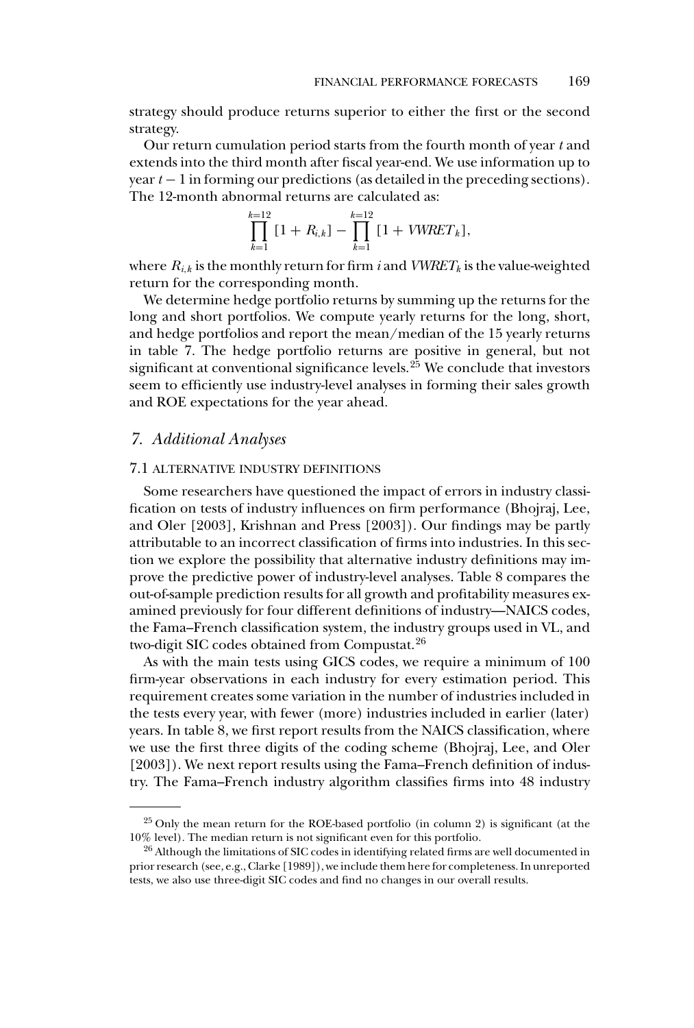strategy should produce returns superior to either the first or the second strategy.

Our return cumulation period starts from the fourth month of year *t* and extends into the third month after fiscal year-end. We use information up to year *t* − 1 in forming our predictions (as detailed in the preceding sections). The 12-month abnormal returns are calculated as:

$$
\prod_{k=1}^{k=12} [1 + R_{i,k}] - \prod_{k=1}^{k=12} [1 + VWRET_k],
$$

where  $R_{i,k}$  is the monthly return for firm *i* and *VWRET<sub>k</sub>* is the value-weighted return for the corresponding month.

We determine hedge portfolio returns by summing up the returns for the long and short portfolios. We compute yearly returns for the long, short, and hedge portfolios and report the mean/median of the 15 yearly returns in table 7. The hedge portfolio returns are positive in general, but not significant at conventional significance levels. $25$  We conclude that investors seem to efficiently use industry-level analyses in forming their sales growth and ROE expectations for the year ahead.

## *7. Additional Analyses*

#### 7.1 ALTERNATIVE INDUSTRY DEFINITIONS

Some researchers have questioned the impact of errors in industry classification on tests of industry influences on firm performance (Bhojraj, Lee, and Oler [2003], Krishnan and Press [2003]). Our findings may be partly attributable to an incorrect classification of firms into industries. In this section we explore the possibility that alternative industry definitions may improve the predictive power of industry-level analyses. Table 8 compares the out-of-sample prediction results for all growth and profitability measures examined previously for four different definitions of industry—NAICS codes, the Fama–French classification system, the industry groups used in VL, and two-digit SIC codes obtained from Compustat.<sup>26</sup>

As with the main tests using GICS codes, we require a minimum of 100 firm-year observations in each industry for every estimation period. This requirement creates some variation in the number of industries included in the tests every year, with fewer (more) industries included in earlier (later) years. In table 8, we first report results from the NAICS classification, where we use the first three digits of the coding scheme (Bhojraj, Lee, and Oler [2003]). We next report results using the Fama–French definition of industry. The Fama–French industry algorithm classifies firms into 48 industry

 $25$  Only the mean return for the ROE-based portfolio (in column 2) is significant (at the 10% level). The median return is not significant even for this portfolio.

 $^{26}$  Although the limitations of SIC codes in identifying related firms are well documented in prior research (see, e.g., Clarke [1989]), we include them here for completeness. In unreported tests, we also use three-digit SIC codes and find no changes in our overall results.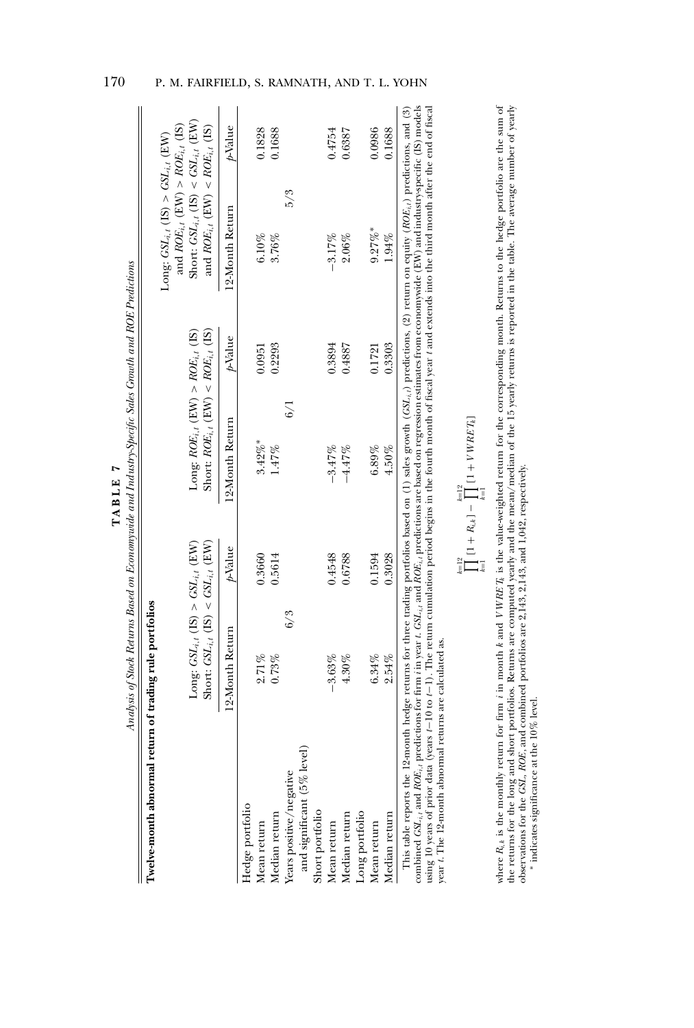Twelve-month abnormal return of trading rule portfolios

|                            | Short: $GSL_{i,l}$ (IS) < $GSL_{i,l}$ (EW)<br>Long: $GSL_{i,t}$ (IS) > $GSL_{i,t}$ (EW) |                 | Short: $ROE_{i,t}$ (EW) $\lt ROE_{i,t}$ (IS)<br>Long: $ROE_{i,t}$ (EW) > $ROE_{i,t}$ (IS) |                 | Short: $GSL_{i,t}$ (IS) < $GSL_{i,t}$ (EW)<br>and $ROE_{i, l}$ (EW) > $ROE_{i, l}$ (IS)<br>and $ROE_{i,i}$ (EW) $\lt ROE_{i,i}$ (IS) |         |
|----------------------------|-----------------------------------------------------------------------------------------|-----------------|-------------------------------------------------------------------------------------------|-----------------|--------------------------------------------------------------------------------------------------------------------------------------|---------|
|                            | 12-Month Return                                                                         | <i>t</i> -Value | 12-Month Return                                                                           | <i>t</i> -Value | 12-Month Return                                                                                                                      | b-Value |
| Hedge portfolio            |                                                                                         |                 |                                                                                           |                 |                                                                                                                                      |         |
| Mean return                | $2.71\%$                                                                                | 0.3660          | $3.42\%$ *                                                                                | 0.0951          | $6.10\%$                                                                                                                             | 0.1828  |
| Median return              | 0.73%                                                                                   | 0.5614          | $1.47\%$                                                                                  | 0.2293          | 3.76%                                                                                                                                | 0.1688  |
| Years positive/negative    | 6/3                                                                                     |                 | $\sqrt{2}$                                                                                |                 | 5/3                                                                                                                                  |         |
| and significant (5% level) |                                                                                         |                 |                                                                                           |                 |                                                                                                                                      |         |
| Short portfolio            |                                                                                         |                 |                                                                                           |                 |                                                                                                                                      |         |
| Mean return                | $-3.63%$                                                                                | 0.4548          | $-3.47\%$                                                                                 | 0.3894          | $-3.17%$                                                                                                                             | 0.4754  |
| Median return              | $4.30\%$                                                                                | 0.6788          | $-4.47%$                                                                                  | 0.4887          | $2.06\%$                                                                                                                             | 0.6387  |
| Long portfolio             |                                                                                         |                 |                                                                                           |                 |                                                                                                                                      |         |
| Mean return                | $6.34\%$                                                                                | 0.1594          | 6.89%                                                                                     | 0.1721          | $9.27\%$ *                                                                                                                           | 0.0986  |
| Median return              | 2.54%                                                                                   | 0.3028          | 4.50%                                                                                     | 0.3303          | $1.94\%$                                                                                                                             | 0.1688  |

using 10 years of prior data (years t=10 to t=1). The return cumulation period begins in the fourth month of fiscal year t and extends into the third month after the end of fiscal<br>year t. The 12-month abnormal returns are using 10 years of prior data (years *t−*10 to *t−*1). The return cumulation period begins in the fourth month of fiscal year *t* and extends into the third month after the end of fiscal year *t*. The 12-month abnormal returns are calculated as.

$$
\prod_{k=1}^{k=12} [1 + R_{i,k}] - \prod_{k=1}^{k=1} [1 + VWRET_k]
$$

 $\overline{n}$ 

where  $R_{ik}$  is the monthly return for firm *i* in month *k* and VWRE  $T_k$  is the value-weighted return for the corresponding month. Returns to the hedge portfolio are the sum of the returns for the long and short portfol *Ri*,*k* is the monthly return for firm *i* in month *k* and *VWRETk* is the value-weighted return for the corresponding month. Returns to the hedge portfolio are the sum of the returns for the long and short portfolios. Returns are computed yearly and the mean/median of the 15 yearly returns is reported in the table. The average number of yearly observations for the *GSL, ROE,* and combined portfolios are 2,143, 2,143, and 1,042, respectively.<br>∗ indicates significance at the 10% level.

 $^*$  indicates significance at the  $10\%$  level.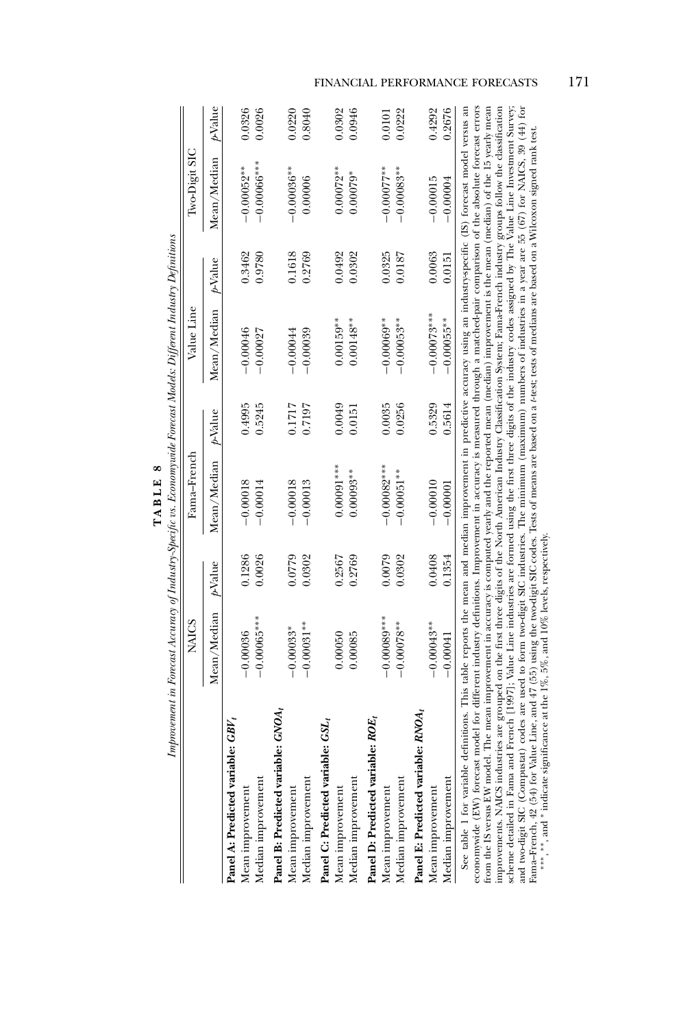|                                                                                                                                                                                                                                                                                                                                                       | <b>NAICS</b>  |        | Fama–French   |        | Value Line    |         | Two-Digit SIC |           |
|-------------------------------------------------------------------------------------------------------------------------------------------------------------------------------------------------------------------------------------------------------------------------------------------------------------------------------------------------------|---------------|--------|---------------|--------|---------------|---------|---------------|-----------|
|                                                                                                                                                                                                                                                                                                                                                       | Mean/Median   | bValue | Mean/Median   | bValue | Mean/Median   | b-Value | Mean/Median   | $b$ Value |
| Panel A: Predicted variable: $GBV_t$                                                                                                                                                                                                                                                                                                                  |               |        |               |        |               |         |               |           |
| Mean improvement                                                                                                                                                                                                                                                                                                                                      | $-0.00036$    | 0.1286 | $-0.00018$    | 0.4995 | $-0.00046$    | 0.3462  | $-0.00052***$ | 0.0326    |
| Median improvement                                                                                                                                                                                                                                                                                                                                    | $-0.00065***$ | 0.0026 | $-0.00014$    | 0.5245 | $-0.00027$    | 0.9780  | $-0.00066***$ | 0.0026    |
| GNOA,<br>Panel B: Predicted variable:                                                                                                                                                                                                                                                                                                                 |               |        |               |        |               |         |               |           |
| Mean improvement                                                                                                                                                                                                                                                                                                                                      | $-0.00033*$   | 0.0779 | $-0.00018$    | 0.1717 | $-0.00044$    | 0.1618  | $-0.00036**$  | 0.0220    |
| Median improvement                                                                                                                                                                                                                                                                                                                                    | $-0.00031**$  | 0.0302 | $-0.00013$    | 0.7197 | $-0.00039$    | 0.2769  | 0.00006       | 0.8040    |
| Panel C: Predicted variable: $GSLt$                                                                                                                                                                                                                                                                                                                   |               |        |               |        |               |         |               |           |
| Mean improvement                                                                                                                                                                                                                                                                                                                                      | 0.00050       | 0.2567 | $0.00091***$  | 0.0049 | $0.00159**$   | 0.0492  | $0.00072***$  | 0.302     |
| Median improvement                                                                                                                                                                                                                                                                                                                                    | 0.00085       | 0.2769 | $0.00093**$   | 0.015  | $0.00148**$   | 0.0302  | $0.00079*$    | 0.0946    |
| Panel D: Predicted variable: $ROE_t$                                                                                                                                                                                                                                                                                                                  |               |        |               |        |               |         |               |           |
| Mean improvement                                                                                                                                                                                                                                                                                                                                      | $-0.00089***$ | 0.0079 | $-0.00082***$ | 0.0035 | $-0.00069**$  | 0.0325  | $-0.00077$ ** | 0.0101    |
| Median improvement                                                                                                                                                                                                                                                                                                                                    | $-0.00078**$  | 0.0302 | $-0.00051***$ | 0.0256 | $-0.00053**$  | 0.0187  | $-0.00083**$  | 0.0222    |
| $RNOA_t$<br>Panel E: Predicted variable:                                                                                                                                                                                                                                                                                                              |               |        |               |        |               |         |               |           |
| Mean improvement                                                                                                                                                                                                                                                                                                                                      | $-0.00043**$  | 0.0408 | $-0.00010$    | 0.5329 | $-0.00073***$ | 0.0063  | $-0.00015$    | 0.4292    |
| Median improvement                                                                                                                                                                                                                                                                                                                                    | $-0.00041$    | 0.1354 | $-0.00001$    | 0.5614 | $-0.00055***$ | 0.0151  | $-0.00004$    | 0.2676    |
| See table 1 for variable definitions. This table reports the mean and median improvement in predictive accuracy using an industry-specific (1S) forecast model versus an<br>economywide (EW) forecast model for different industry definitions. Improvement in accuracy is measured through a matched-pair comparison of the absolute forecast errors |               |        |               |        |               |         |               |           |
| from the IS versus EW model. The mean improvement in accuracy is computed yearly and the reported mean (median) improvement is the mean (median) of the 15 yearly mean                                                                                                                                                                                |               |        |               |        |               |         |               |           |
| improvements. NAICS industries are grouped on the first three digits of the North American Industry Classification System; Fama-French industry groups follow the classification                                                                                                                                                                      |               |        |               |        |               |         |               |           |
| scheme detailed in Fama and French [1997]; Value Line industries are formed using the first three digits of the industry codes assigned by The Value Line Investment Survey;<br>and two diff (Computed) and to form two digit of inducting The minimum (movimum) numbers of inducting in a verse K (KT) for NAID 20.14                                |               |        |               |        |               |         |               |           |

**TABLE 8**

TABLE 8

and two-digit SIC (Compustat) codes are used to form two-digit SIC industries. The minimum (maximum) numbers of industries in a year are 55 (67) for NAICS, 39 (44) for<br>Fama–French, 42 (54) for Value Line, and 47 (55) using and two-digit SIC (Compustat) codes are used to form two-digit SIC industries. The minimum (maximum) numbers of industries in a year are 55 (67) for NAICS, 39 (44) for Fama–French, 42 (54) for Value Line, and 47 (55) using the two-digit SIC codes. Tests of means are based on a *t*-test; tests of medians are based on a Wilcoxon signed rank test. ∗∗∗, ∗∗, and ∗ indicate significance at the 1%, 5%, and 10% levels, respectively.

FINANCIAL PERFORMANCE FORECASTS 171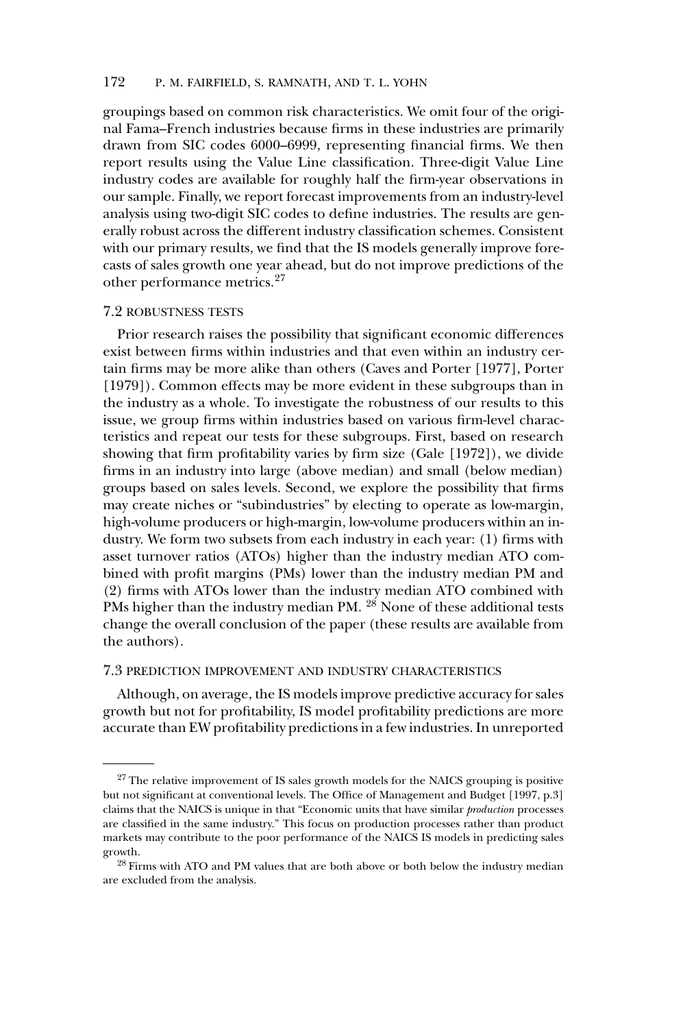#### 172 P. M. FAIRFIELD, S. RAMNATH, AND T. L. YOHN

groupings based on common risk characteristics. We omit four of the original Fama–French industries because firms in these industries are primarily drawn from SIC codes 6000–6999, representing financial firms. We then report results using the Value Line classification. Three-digit Value Line industry codes are available for roughly half the firm-year observations in our sample. Finally, we report forecast improvements from an industry-level analysis using two-digit SIC codes to define industries. The results are generally robust across the different industry classification schemes. Consistent with our primary results, we find that the IS models generally improve forecasts of sales growth one year ahead, but do not improve predictions of the other performance metrics.<sup>27</sup>

#### 7.2 ROBUSTNESS TESTS

Prior research raises the possibility that significant economic differences exist between firms within industries and that even within an industry certain firms may be more alike than others (Caves and Porter [1977], Porter [1979]). Common effects may be more evident in these subgroups than in the industry as a whole. To investigate the robustness of our results to this issue, we group firms within industries based on various firm-level characteristics and repeat our tests for these subgroups. First, based on research showing that firm profitability varies by firm size (Gale [1972]), we divide firms in an industry into large (above median) and small (below median) groups based on sales levels. Second, we explore the possibility that firms may create niches or "subindustries" by electing to operate as low-margin, high-volume producers or high-margin, low-volume producers within an industry. We form two subsets from each industry in each year: (1) firms with asset turnover ratios (ATOs) higher than the industry median ATO combined with profit margins (PMs) lower than the industry median PM and (2) firms with ATOs lower than the industry median ATO combined with PMs higher than the industry median PM. <sup>28</sup> None of these additional tests change the overall conclusion of the paper (these results are available from the authors).

#### 7.3 PREDICTION IMPROVEMENT AND INDUSTRY CHARACTERISTICS

Although, on average, the IS models improve predictive accuracy for sales growth but not for profitability, IS model profitability predictions are more accurate than EW profitability predictions in a few industries. In unreported

 $^{27}\!$  The relative improvement of IS sales growth models for the NAICS grouping is positive but not significant at conventional levels. The Office of Management and Budget [1997, p.3] claims that the NAICS is unique in that "Economic units that have similar *production* processes are classified in the same industry." This focus on production processes rather than product markets may contribute to the poor performance of the NAICS IS models in predicting sales growth.

<sup>&</sup>lt;sup>28</sup> Firms with ATO and PM values that are both above or both below the industry median are excluded from the analysis.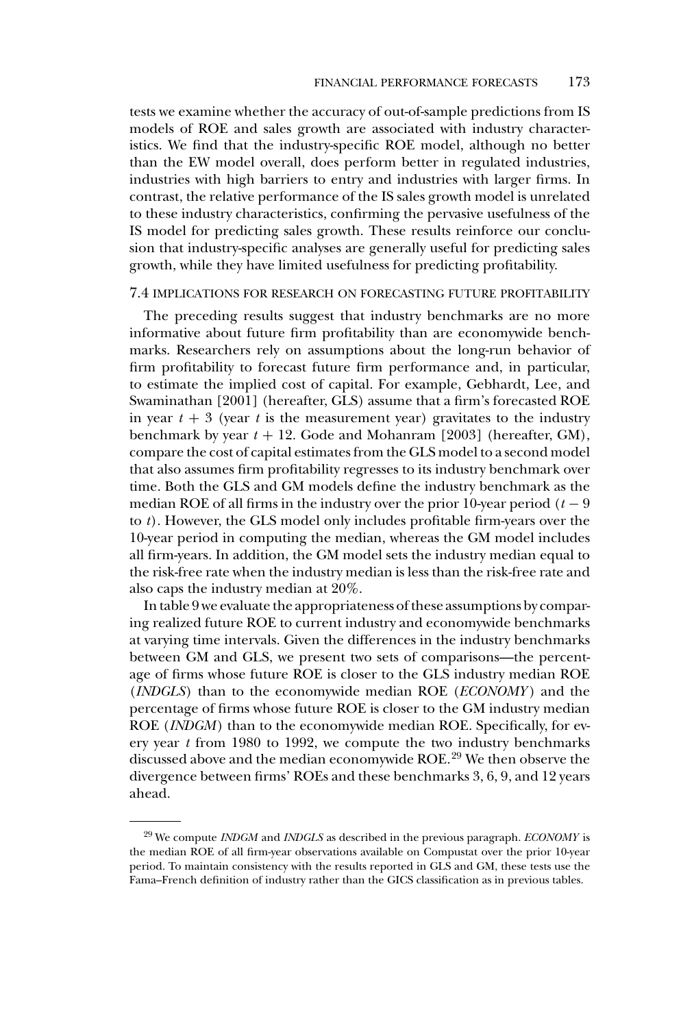tests we examine whether the accuracy of out-of-sample predictions from IS models of ROE and sales growth are associated with industry characteristics. We find that the industry-specific ROE model, although no better than the EW model overall, does perform better in regulated industries, industries with high barriers to entry and industries with larger firms. In contrast, the relative performance of the IS sales growth model is unrelated to these industry characteristics, confirming the pervasive usefulness of the IS model for predicting sales growth. These results reinforce our conclusion that industry-specific analyses are generally useful for predicting sales growth, while they have limited usefulness for predicting profitability.

#### 7.4 IMPLICATIONS FOR RESEARCH ON FORECASTING FUTURE PROFITABILITY

The preceding results suggest that industry benchmarks are no more informative about future firm profitability than are economywide benchmarks. Researchers rely on assumptions about the long-run behavior of firm profitability to forecast future firm performance and, in particular, to estimate the implied cost of capital. For example, Gebhardt, Lee, and Swaminathan [2001] (hereafter, GLS) assume that a firm's forecasted ROE in year  $t + 3$  (year  $t$  is the measurement year) gravitates to the industry benchmark by year *t* + 12. Gode and Mohanram [2003] (hereafter, GM), compare the cost of capital estimates from the GLS model to a second model that also assumes firm profitability regresses to its industry benchmark over time. Both the GLS and GM models define the industry benchmark as the median ROE of all firms in the industry over the prior 10-year period  $(t - 9)$ to *t*). However, the GLS model only includes profitable firm-years over the 10-year period in computing the median, whereas the GM model includes all firm-years. In addition, the GM model sets the industry median equal to the risk-free rate when the industry median is less than the risk-free rate and also caps the industry median at 20%.

In table 9 we evaluate the appropriateness of these assumptions by comparing realized future ROE to current industry and economywide benchmarks at varying time intervals. Given the differences in the industry benchmarks between GM and GLS, we present two sets of comparisons—the percentage of firms whose future ROE is closer to the GLS industry median ROE (*INDGLS*) than to the economywide median ROE (*ECONOMY* ) and the percentage of firms whose future ROE is closer to the GM industry median ROE (*INDGM*) than to the economywide median ROE. Specifically, for every year *t* from 1980 to 1992, we compute the two industry benchmarks discussed above and the median economywide ROE.<sup>29</sup> We then observe the divergence between firms' ROEs and these benchmarks 3, 6, 9, and 12 years ahead.

<sup>29</sup> We compute *INDGM* and *INDGLS* as described in the previous paragraph. *ECONOMY* is the median ROE of all firm-year observations available on Compustat over the prior 10-year period. To maintain consistency with the results reported in GLS and GM, these tests use the Fama–French definition of industry rather than the GICS classification as in previous tables.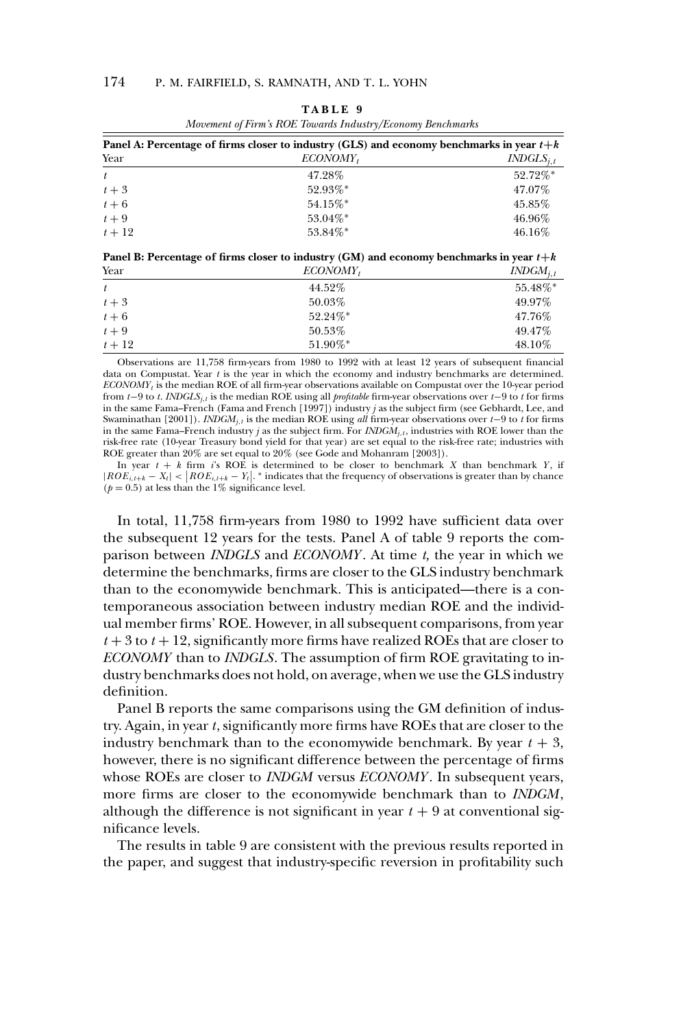#### 174 P. M. FAIRFIELD, S. RAMNATH, AND T. L. YOHN

| $INDGLS_{i,t}$                                                                            |
|-------------------------------------------------------------------------------------------|
| 52.72%*                                                                                   |
| 47.07%                                                                                    |
| 45.85%                                                                                    |
| 46.96%                                                                                    |
| 46.16%                                                                                    |
| Panel B: Percentage of firms closer to industry (GM) and economy benchmarks in year $t+k$ |
|                                                                                           |

| TABLE 9                                                    |  |
|------------------------------------------------------------|--|
| Movement of Firm's ROF Towards Industry/Fconomy Benchmarks |  |

| Panel B: Percentage of firms closer to industry (GM) and economy benchmarks in year $t+k$ |             |               |  |  |
|-------------------------------------------------------------------------------------------|-------------|---------------|--|--|
| Year                                                                                      | $ECONOMY_t$ | $INDGM_{i,t}$ |  |  |
| $\boldsymbol{t}$                                                                          | 44.52%      | 55.48%*       |  |  |
| $t+3$                                                                                     | 50.03%      | 49.97%        |  |  |
| $t+6$                                                                                     | 52.24%*     | 47.76%        |  |  |
| $t+9$                                                                                     | 50.53%      | 49.47%        |  |  |
| $t+12$                                                                                    | $51.90\%$ * | 48.10%        |  |  |

Observations are 11,758 firm-years from 1980 to 1992 with at least 12 years of subsequent financial data on Compustat. Year *t* is the year in which the economy and industry benchmarks are determined. *ECONOMYt* is the median ROE of all firm-year observations available on Compustat over the 10-year period from *t*−9 to *t*. *INDGLSj*,*<sup>t</sup>* is the median ROE using all *profitable* firm-year observations over *t*−9 to *t* for firms in the same Fama–French (Fama and French [1997]) industry *j* as the subject firm (see Gebhardt, Lee, and Swaminathan [2001]). *INDGMj*,*<sup>t</sup>* is the median ROE using *all* firm-year observations over *t*−9 to *t* for firms in the same Fama–French industry *j* as the subject firm. For *INDGMj*,*<sup>t</sup>* , industries with ROE lower than the risk-free rate (10-year Treasury bond yield for that year) are set equal to the risk-free rate; industries with ROE greater than 20% are set equal to 20% (see Gode and Mohanram [2003]).

In year  $t + k$  firm *i*'s ROE is determined to be closer to benchmark *X* than benchmark *Y*, if  $|ROE_{i,t+k} - X_t| < |ROE_{i,t+k} - Y_t|$ , \* indicates that the frequency of observations is greater than by chance  $(p = 0.5)$  at less than the 1% significance level.

In total, 11,758 firm-years from 1980 to 1992 have sufficient data over the subsequent 12 years for the tests. Panel A of table 9 reports the comparison between *INDGLS* and *ECONOMY* . At time *t,* the year in which we determine the benchmarks, firms are closer to the GLS industry benchmark than to the economywide benchmark. This is anticipated—there is a contemporaneous association between industry median ROE and the individual member firms' ROE. However, in all subsequent comparisons, from year  $t + 3$  to  $t + 12$ , significantly more firms have realized ROEs that are closer to *ECONOMY* than to *INDGLS*. The assumption of firm ROE gravitating to industry benchmarks does not hold, on average, when we use the GLS industry definition.

Panel B reports the same comparisons using the GM definition of industry. Again, in year *t*, significantly more firms have ROEs that are closer to the industry benchmark than to the economywide benchmark. By year  $t + 3$ , however, there is no significant difference between the percentage of firms whose ROEs are closer to *INDGM* versus *ECONOMY* . In subsequent years, more firms are closer to the economywide benchmark than to *INDGM*, although the difference is not significant in year  $t + 9$  at conventional significance levels.

The results in table 9 are consistent with the previous results reported in the paper, and suggest that industry-specific reversion in profitability such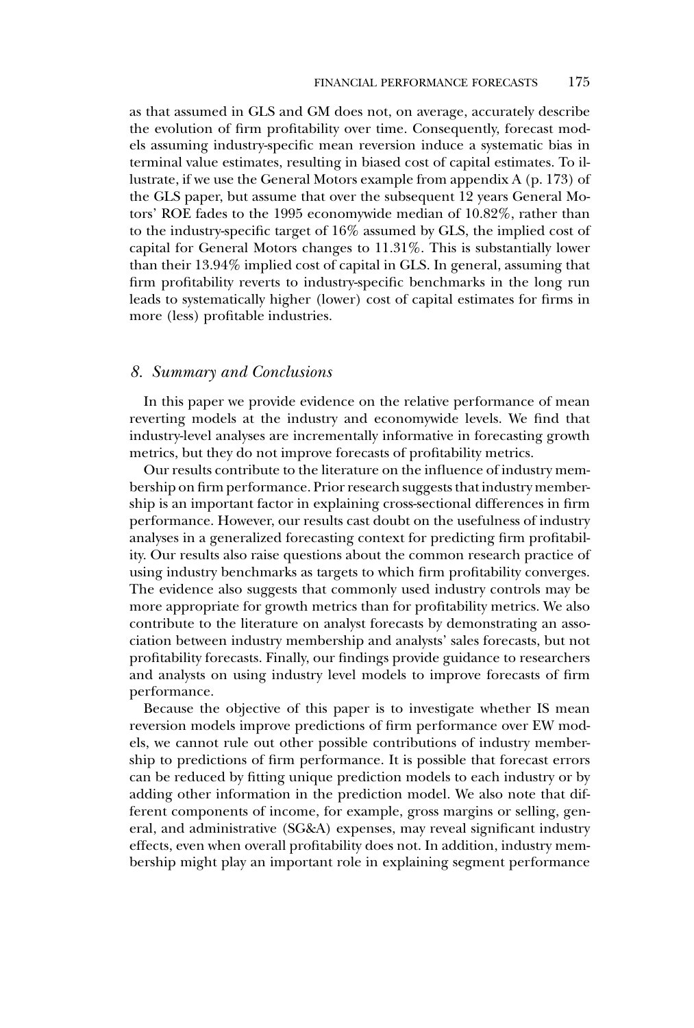as that assumed in GLS and GM does not, on average, accurately describe the evolution of firm profitability over time. Consequently, forecast models assuming industry-specific mean reversion induce a systematic bias in terminal value estimates, resulting in biased cost of capital estimates. To illustrate, if we use the General Motors example from appendix A (p. 173) of the GLS paper, but assume that over the subsequent 12 years General Motors' ROE fades to the 1995 economywide median of 10.82%, rather than to the industry-specific target of 16% assumed by GLS, the implied cost of capital for General Motors changes to 11.31%. This is substantially lower than their 13.94% implied cost of capital in GLS. In general, assuming that firm profitability reverts to industry-specific benchmarks in the long run leads to systematically higher (lower) cost of capital estimates for firms in more (less) profitable industries.

#### *8. Summary and Conclusions*

In this paper we provide evidence on the relative performance of mean reverting models at the industry and economywide levels. We find that industry-level analyses are incrementally informative in forecasting growth metrics, but they do not improve forecasts of profitability metrics.

Our results contribute to the literature on the influence of industry membership on firm performance. Prior research suggests that industry membership is an important factor in explaining cross-sectional differences in firm performance. However, our results cast doubt on the usefulness of industry analyses in a generalized forecasting context for predicting firm profitability. Our results also raise questions about the common research practice of using industry benchmarks as targets to which firm profitability converges. The evidence also suggests that commonly used industry controls may be more appropriate for growth metrics than for profitability metrics. We also contribute to the literature on analyst forecasts by demonstrating an association between industry membership and analysts' sales forecasts, but not profitability forecasts. Finally, our findings provide guidance to researchers and analysts on using industry level models to improve forecasts of firm performance.

Because the objective of this paper is to investigate whether IS mean reversion models improve predictions of firm performance over EW models, we cannot rule out other possible contributions of industry membership to predictions of firm performance. It is possible that forecast errors can be reduced by fitting unique prediction models to each industry or by adding other information in the prediction model. We also note that different components of income, for example, gross margins or selling, general, and administrative (SG&A) expenses, may reveal significant industry effects, even when overall profitability does not. In addition, industry membership might play an important role in explaining segment performance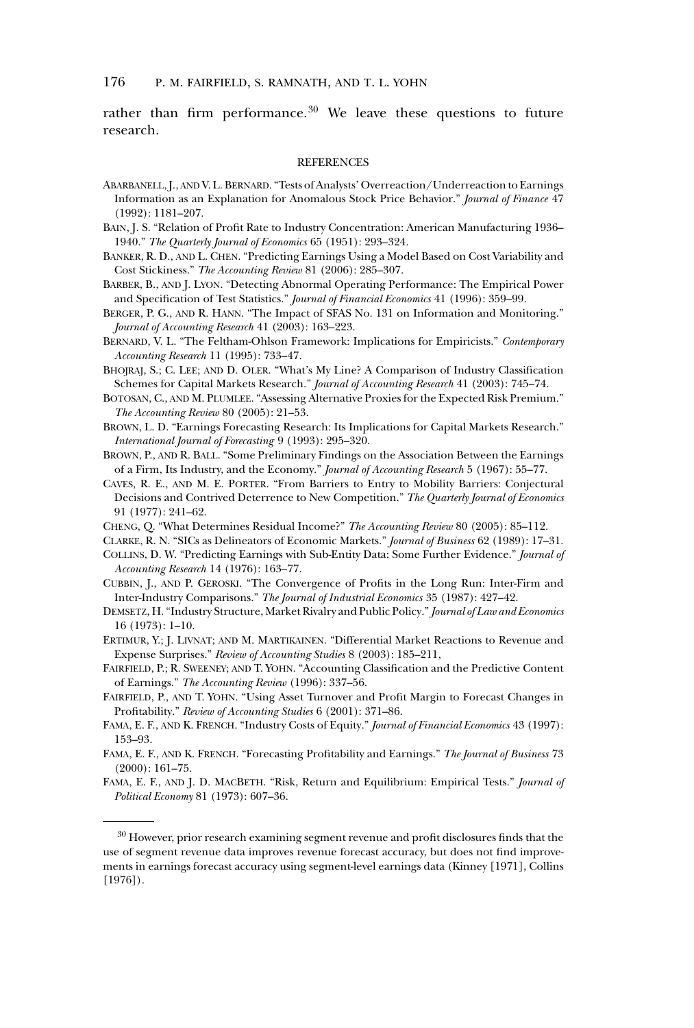rather than firm performance.<sup>30</sup> We leave these questions to future research.

#### **REFERENCES**

- ABARBANELL, J., AND V. L. BERNARD. "Tests of Analysts' Overreaction/Underreaction to Earnings Information as an Explanation for Anomalous Stock Price Behavior." *Journal of Finance* 47 (1992): 1181–207.
- BAIN, J. S. "Relation of Profit Rate to Industry Concentration: American Manufacturing 1936– 1940." *The Quarterly Journal of Economics* 65 (1951): 293–324.
- BANKER, R. D., AND L. CHEN. "Predicting Earnings Using a Model Based on Cost Variability and Cost Stickiness." *The Accounting Review* 81 (2006): 285–307.

BARBER, B., AND J. LYON. "Detecting Abnormal Operating Performance: The Empirical Power and Specification of Test Statistics." *Journal of Financial Economics* 41 (1996): 359–99.

BERGER, P. G., AND R. HANN. "The Impact of SFAS No. 131 on Information and Monitoring." *Journal of Accounting Research* 41 (2003): 163–223.

BERNARD, V. L. "The Feltham-Ohlson Framework: Implications for Empiricists." *Contemporary Accounting Research* 11 (1995): 733–47.

BHOJRAJ, S.; C. LEE; AND D. OLER. "What's My Line? A Comparison of Industry Classification Schemes for Capital Markets Research." *Journal of Accounting Research* 41 (2003): 745–74.

- BOTOSAN, C., AND M. PLUMLEE. "Assessing Alternative Proxies for the Expected Risk Premium." *The Accounting Review* 80 (2005): 21–53.
- BROWN, L. D. "Earnings Forecasting Research: Its Implications for Capital Markets Research." *International Journal of Forecasting* 9 (1993): 295–320.
- BROWN, P., AND R. BALL. "Some Preliminary Findings on the Association Between the Earnings of a Firm, Its Industry, and the Economy." *Journal of Accounting Research* 5 (1967): 55–77.
- CAVES, R. E., AND M. E. PORTER. "From Barriers to Entry to Mobility Barriers: Conjectural Decisions and Contrived Deterrence to New Competition." *The Quarterly Journal of Economics* 91 (1977): 241–62.
- CHENG, Q. "What Determines Residual Income?" *The Accounting Review* 80 (2005): 85–112.

CLARKE, R. N. "SICs as Delineators of Economic Markets." *Journal of Business* 62 (1989): 17–31.

- COLLINS, D. W. "Predicting Earnings with Sub-Entity Data: Some Further Evidence." *Journal of Accounting Research* 14 (1976): 163–77.
- CUBBIN, J., AND P. GEROSKI. "The Convergence of Profits in the Long Run: Inter-Firm and Inter-Industry Comparisons." *The Journal of Industrial Economics* 35 (1987): 427–42.
- DEMSETZ, H. "Industry Structure, Market Rivalry and Public Policy." *Journal of Law and Economics* 16 (1973): 1–10.
- ERTIMUR, Y.; J. LIVNAT; AND M. MARTIKAINEN. "Differential Market Reactions to Revenue and Expense Surprises." *Review of Accounting Studies* 8 (2003): 185–211,

FAIRFIELD, P.; R. SWEENEY; AND T. YOHN. "Accounting Classification and the Predictive Content of Earnings." *The Accounting Review* (1996): 337–56.

- FAIRFIELD, P., AND T. YOHN. "Using Asset Turnover and Profit Margin to Forecast Changes in Profitability." *Review of Accounting Studies* 6 (2001): 371–86.
- FAMA, E. F., AND K. FRENCH. "Industry Costs of Equity." *Journal of Financial Economics* 43 (1997): 153–93.
- FAMA, E. F., AND K. FRENCH. "Forecasting Profitability and Earnings." *The Journal of Business* 73 (2000): 161–75.
- FAMA, E. F., AND J. D. MACBETH. "Risk, Return and Equilibrium: Empirical Tests." *Journal of Political Economy* 81 (1973): 607–36.

 $^\mathrm{30}$  However, prior research examining segment revenue and profit disclosures finds that the use of segment revenue data improves revenue forecast accuracy, but does not find improvements in earnings forecast accuracy using segment-level earnings data (Kinney [1971], Collins [1976]).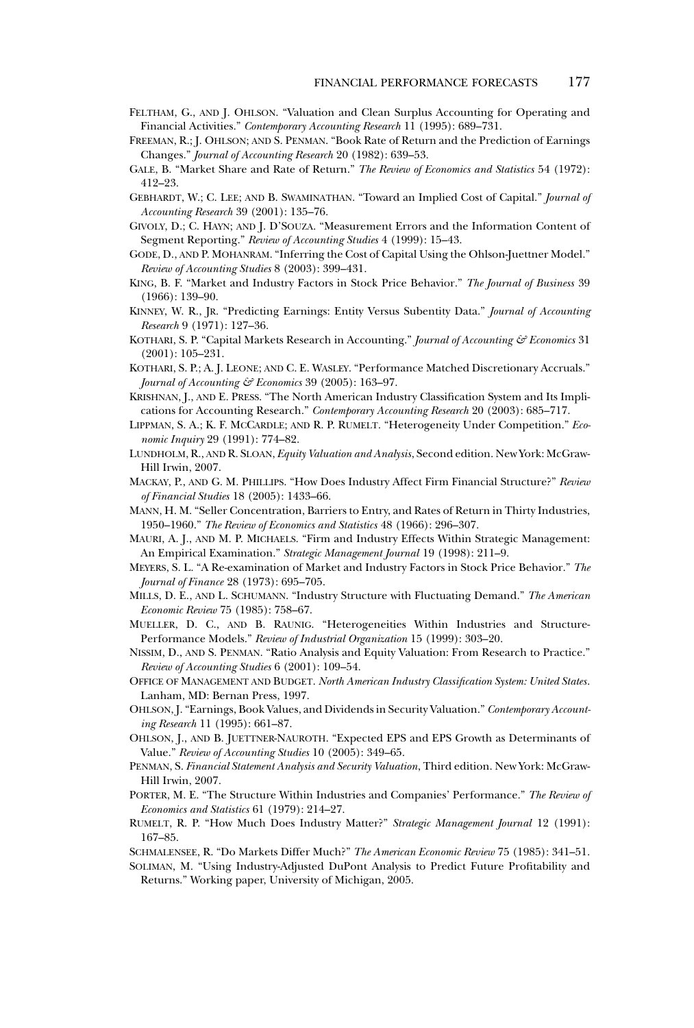- FELTHAM, G., AND J. OHLSON. "Valuation and Clean Surplus Accounting for Operating and Financial Activities." *Contemporary Accounting Research* 11 (1995): 689–731.
- FREEMAN, R.; J. OHLSON; AND S. PENMAN. "Book Rate of Return and the Prediction of Earnings Changes." *Journal of Accounting Research* 20 (1982): 639–53.
- GALE, B. "Market Share and Rate of Return." *The Review of Economics and Statistics* 54 (1972): 412–23.
- GEBHARDT, W.; C. LEE; AND B. SWAMINATHAN. "Toward an Implied Cost of Capital." *Journal of Accounting Research* 39 (2001): 135–76.
- GIVOLY, D.; C. HAYN; AND J. D'SOUZA. "Measurement Errors and the Information Content of Segment Reporting." *Review of Accounting Studies* 4 (1999): 15–43.
- GODE, D., AND P. MOHANRAM. "Inferring the Cost of Capital Using the Ohlson-Juettner Model." *Review of Accounting Studies* 8 (2003): 399–431.
- KING, B. F. "Market and Industry Factors in Stock Price Behavior." *The Journal of Business* 39 (1966): 139–90.
- KINNEY, W. R., JR. "Predicting Earnings: Entity Versus Subentity Data." *Journal of Accounting Research* 9 (1971): 127–36.
- KOTHARI, S. P. "Capital Markets Research in Accounting." *Journal of Accounting & Economics* 31 (2001): 105–231.
- KOTHARI, S. P.; A. J. LEONE; AND C. E. WASLEY. "Performance Matched Discretionary Accruals." *Journal of Accounting & Economics* 39 (2005): 163–97.
- KRISHNAN, J., AND E. PRESS. "The North American Industry Classification System and Its Implications for Accounting Research." *Contemporary Accounting Research* 20 (2003): 685–717.
- LIPPMAN, S. A.; K. F. MCCARDLE; AND R. P. RUMELT. "Heterogeneity Under Competition." *Economic Inquiry* 29 (1991): 774–82.
- LUNDHOLM, R., AND R. SLOAN, *Equity Valuation and Analysis*, Second edition. New York: McGraw-Hill Irwin, 2007.
- MACKAY, P., AND G. M. PHILLIPS. "How Does Industry Affect Firm Financial Structure?" *Review of Financial Studies* 18 (2005): 1433–66.
- MANN, H. M. "Seller Concentration, Barriers to Entry, and Rates of Return in Thirty Industries, 1950–1960." *The Review of Economics and Statistics* 48 (1966): 296–307.
- MAURI, A. J., AND M. P. MICHAELS. "Firm and Industry Effects Within Strategic Management: An Empirical Examination." *Strategic Management Journal* 19 (1998): 211–9.
- MEYERS, S. L. "A Re-examination of Market and Industry Factors in Stock Price Behavior." *The Journal of Finance* 28 (1973): 695–705.
- MILLS, D. E., AND L. SCHUMANN. "Industry Structure with Fluctuating Demand." *The American Economic Review* 75 (1985): 758–67.
- MUELLER, D. C., AND B. RAUNIG. "Heterogeneities Within Industries and Structure-Performance Models." *Review of Industrial Organization* 15 (1999): 303–20.
- NISSIM, D., AND S. PENMAN. "Ratio Analysis and Equity Valuation: From Research to Practice." *Review of Accounting Studies* 6 (2001): 109–54.
- OFFICE OF MANAGEMENT AND BUDGET. *North American Industry Classification System: United States*. Lanham, MD: Bernan Press, 1997.
- OHLSON, J. "Earnings, Book Values, and Dividends in Security Valuation." *Contemporary Accounting Research* 11 (1995): 661–87.
- OHLSON, J., AND B. JUETTNER-NAUROTH. "Expected EPS and EPS Growth as Determinants of Value." *Review of Accounting Studies* 10 (2005): 349–65.
- PENMAN, S. *Financial Statement Analysis and Security Valuation*, Third edition. New York: McGraw-Hill Irwin, 2007.
- PORTER, M. E. "The Structure Within Industries and Companies' Performance." *The Review of Economics and Statistics* 61 (1979): 214–27.
- RUMELT, R. P. "How Much Does Industry Matter?" *Strategic Management Journal* 12 (1991): 167–85.
- SCHMALENSEE, R. "Do Markets Differ Much?" *The American Economic Review* 75 (1985): 341–51.
- SOLIMAN, M. "Using Industry-Adjusted DuPont Analysis to Predict Future Profitability and Returns." Working paper, University of Michigan, 2005.